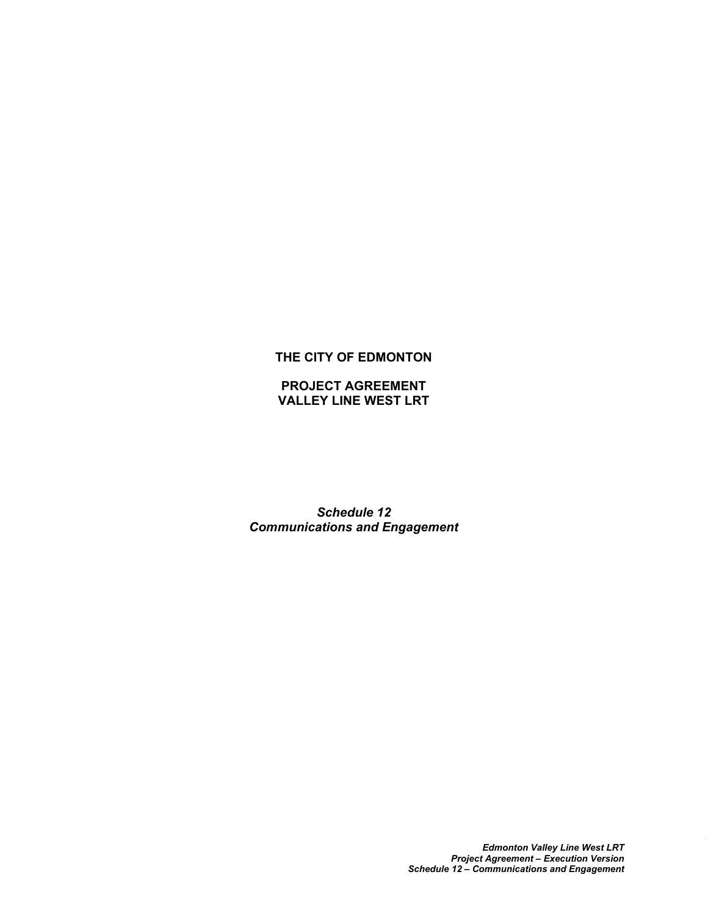# **THE CITY OF EDMONTON**

**PROJECT AGREEMENT VALLEY LINE WEST LRT**

*Schedule 12 Communications and Engagement*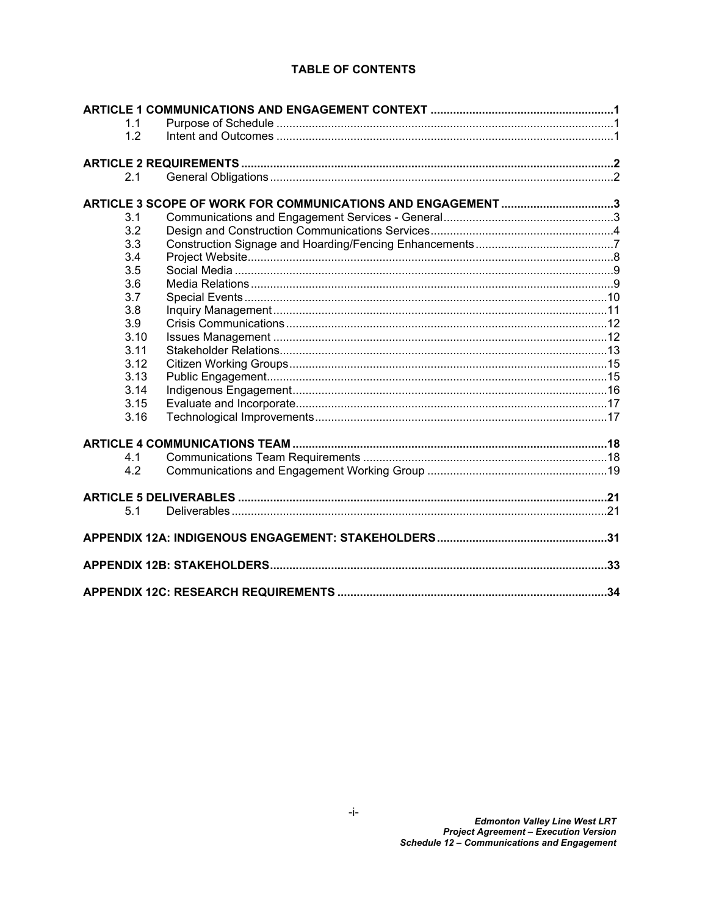# **TABLE OF CONTENTS**

| 1.1  |                                                            |  |  |  |
|------|------------------------------------------------------------|--|--|--|
| 1.2  |                                                            |  |  |  |
|      |                                                            |  |  |  |
| 2.1  |                                                            |  |  |  |
|      | ARTICLE 3 SCOPE OF WORK FOR COMMUNICATIONS AND ENGAGEMENT3 |  |  |  |
| 3.1  |                                                            |  |  |  |
| 3.2  |                                                            |  |  |  |
| 3.3  |                                                            |  |  |  |
| 3.4  |                                                            |  |  |  |
| 3.5  |                                                            |  |  |  |
| 3.6  |                                                            |  |  |  |
| 3.7  |                                                            |  |  |  |
| 3.8  |                                                            |  |  |  |
| 3.9  |                                                            |  |  |  |
| 3.10 |                                                            |  |  |  |
| 3.11 |                                                            |  |  |  |
| 3.12 |                                                            |  |  |  |
| 3.13 |                                                            |  |  |  |
| 3.14 |                                                            |  |  |  |
| 3.15 |                                                            |  |  |  |
| 3.16 |                                                            |  |  |  |
|      |                                                            |  |  |  |
| 4.1  |                                                            |  |  |  |
| 4.2  |                                                            |  |  |  |
|      |                                                            |  |  |  |
| 5.1  |                                                            |  |  |  |
|      |                                                            |  |  |  |
|      |                                                            |  |  |  |
|      |                                                            |  |  |  |
|      |                                                            |  |  |  |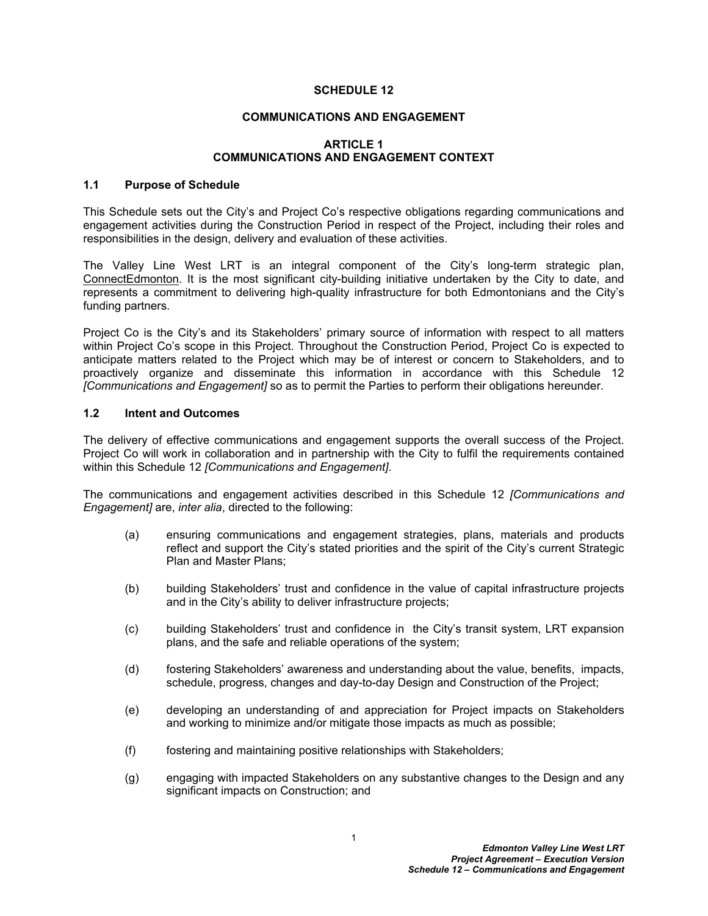#### **SCHEDULE 12**

#### **COMMUNICATIONS AND ENGAGEMENT**

#### <span id="page-2-0"></span>**ARTICLE 1 COMMUNICATIONS AND ENGAGEMENT CONTEXT**

#### <span id="page-2-1"></span>**1.1 Purpose of Schedule**

This Schedule sets out the City's and Project Co's respective obligations regarding communications and engagement activities during the Construction Period in respect of the Project, including their roles and responsibilities in the design, delivery and evaluation of these activities.

The Valley Line West LRT is an integral component of the City's long-term strategic plan, ConnectEdmonton. It is the most significant city-building initiative undertaken by the City to date, and represents a commitment to delivering high-quality infrastructure for both Edmontonians and the City's funding partners.

Project Co is the City's and its Stakeholders' primary source of information with respect to all matters within Project Co's scope in this Project. Throughout the Construction Period, Project Co is expected to anticipate matters related to the Project which may be of interest or concern to Stakeholders, and to proactively organize and disseminate this information in accordance with this Schedule 12 *[Communications and Engagement]* so as to permit the Parties to perform their obligations hereunder.

# <span id="page-2-2"></span>**1.2 Intent and Outcomes**

The delivery of effective communications and engagement supports the overall success of the Project. Project Co will work in collaboration and in partnership with the City to fulfil the requirements contained within this Schedule 12 *[Communications and Engagement]*.

The communications and engagement activities described in this Schedule 12 *[Communications and Engagement]* are, *inter alia*, directed to the following:

- (a) ensuring communications and engagement strategies, plans, materials and products reflect and support the City's stated priorities and the spirit of the City's current Strategic Plan and Master Plans;
- (b) building Stakeholders' trust and confidence in the value of capital infrastructure projects and in the City's ability to deliver infrastructure projects;
- (c) building Stakeholders' trust and confidence in the City's transit system, LRT expansion plans, and the safe and reliable operations of the system;
- (d) fostering Stakeholders' awareness and understanding about the value, benefits, impacts, schedule, progress, changes and day-to-day Design and Construction of the Project;
- (e) developing an understanding of and appreciation for Project impacts on Stakeholders and working to minimize and/or mitigate those impacts as much as possible;
- (f) fostering and maintaining positive relationships with Stakeholders;
- (g) engaging with impacted Stakeholders on any substantive changes to the Design and any significant impacts on Construction; and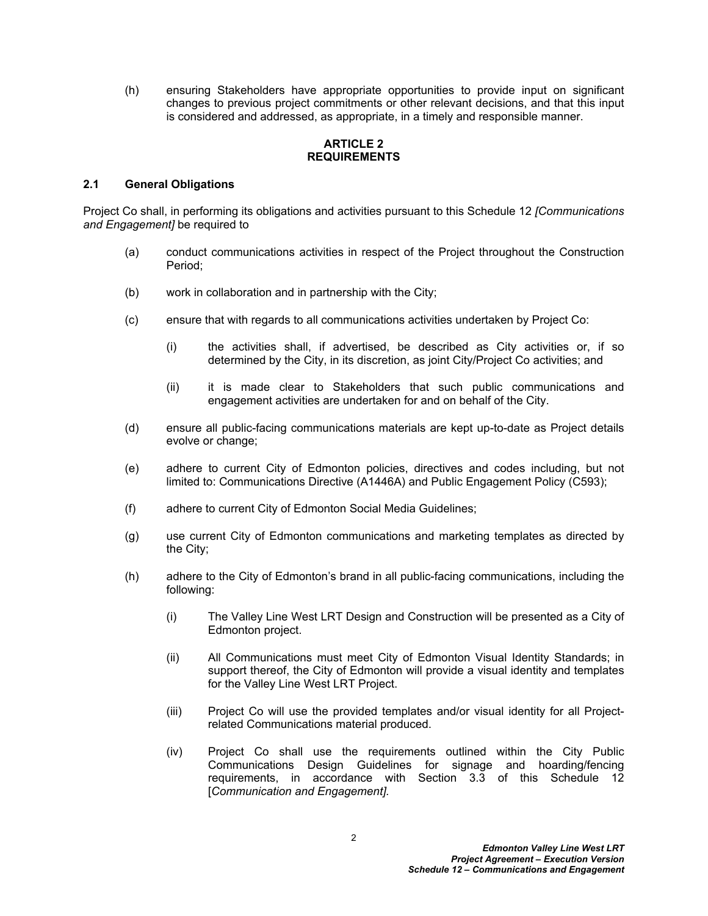(h) ensuring Stakeholders have appropriate opportunities to provide input on significant changes to previous project commitments or other relevant decisions, and that this input is considered and addressed, as appropriate, in a timely and responsible manner.

# <span id="page-3-0"></span>**ARTICLE 2 REQUIREMENTS**

# <span id="page-3-1"></span>**2.1 General Obligations**

Project Co shall, in performing its obligations and activities pursuant to this Schedule 12 *[Communications and Engagement]* be required to

- (a) conduct communications activities in respect of the Project throughout the Construction Period;
- (b) work in collaboration and in partnership with the City;
- (c) ensure that with regards to all communications activities undertaken by Project Co:
	- (i) the activities shall, if advertised, be described as City activities or, if so determined by the City, in its discretion, as joint City/Project Co activities; and
	- (ii) it is made clear to Stakeholders that such public communications and engagement activities are undertaken for and on behalf of the City.
- (d) ensure all public-facing communications materials are kept up-to-date as Project details evolve or change;
- (e) adhere to current City of Edmonton policies, directives and codes including, but not limited to: Communications Directive (A1446A) and Public Engagement Policy (C593);
- (f) adhere to current City of Edmonton Social Media Guidelines;
- (g) use current City of Edmonton communications and marketing templates as directed by the City;
- (h) adhere to the City of Edmonton's brand in all public-facing communications, including the following:
	- (i) The Valley Line West LRT Design and Construction will be presented as a City of Edmonton project.
	- (ii) All Communications must meet City of Edmonton Visual Identity Standards; in support thereof, the City of Edmonton will provide a visual identity and templates for the Valley Line West LRT Project.
	- (iii) Project Co will use the provided templates and/or visual identity for all Projectrelated Communications material produced.
	- (iv) Project Co shall use the requirements outlined within the City Public Communications Design Guidelines for signage and hoarding/fencing requirements, in accordance with Section 3.3 of this Schedule 12 [*Communication and Engagement].*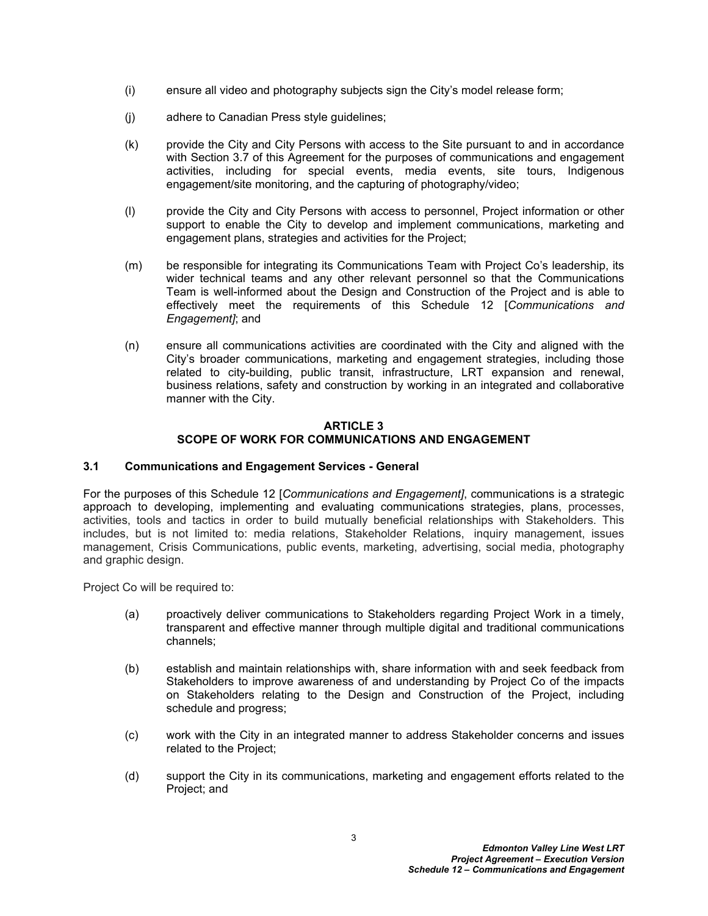- (i) ensure all video and photography subjects sign the City's model release form;
- (j) adhere to Canadian Press style guidelines;
- (k) provide the City and City Persons with access to the Site pursuant to and in accordance with Section 3.7 of this Agreement for the purposes of communications and engagement activities, including for special events, media events, site tours, Indigenous engagement/site monitoring, and the capturing of photography/video;
- (l) provide the City and City Persons with access to personnel, Project information or other support to enable the City to develop and implement communications, marketing and engagement plans, strategies and activities for the Project;
- (m) be responsible for integrating its Communications Team with Project Co's leadership, its wider technical teams and any other relevant personnel so that the Communications Team is well-informed about the Design and Construction of the Project and is able to effectively meet the requirements of this Schedule 12 [*Communications and Engagement]*; and
- (n) ensure all communications activities are coordinated with the City and aligned with the City's broader communications, marketing and engagement strategies, including those related to city-building, public transit, infrastructure, LRT expansion and renewal, business relations, safety and construction by working in an integrated and collaborative manner with the City.

# <span id="page-4-0"></span>**ARTICLE 3 SCOPE OF WORK FOR COMMUNICATIONS AND ENGAGEMENT**

# <span id="page-4-1"></span>**3.1 Communications and Engagement Services - General**

For the purposes of this Schedule 12 [*Communications and Engagement]*, communications is a strategic approach to developing, implementing and evaluating communications strategies, plans, processes, activities, tools and tactics in order to build mutually beneficial relationships with Stakeholders. This includes, but is not limited to: media relations, Stakeholder Relations, inquiry management, issues management, Crisis Communications, public events, marketing, advertising, social media, photography and graphic design.

Project Co will be required to:

- (a) proactively deliver communications to Stakeholders regarding Project Work in a timely, transparent and effective manner through multiple digital and traditional communications channels;
- (b) establish and maintain relationships with, share information with and seek feedback from Stakeholders to improve awareness of and understanding by Project Co of the impacts on Stakeholders relating to the Design and Construction of the Project, including schedule and progress;
- (c) work with the City in an integrated manner to address Stakeholder concerns and issues related to the Project;
- (d) support the City in its communications, marketing and engagement efforts related to the Project; and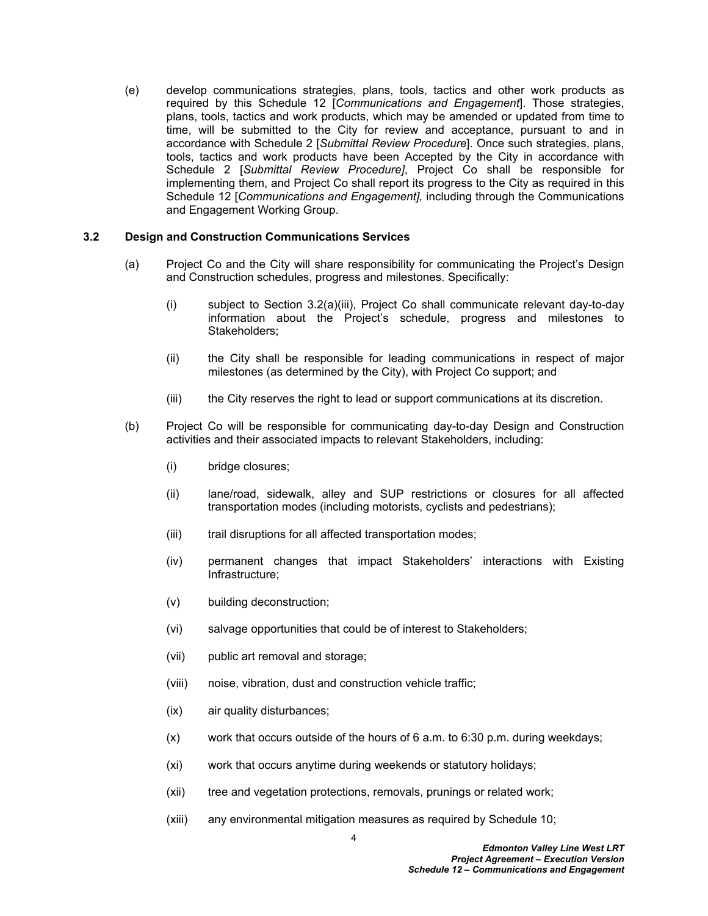(e) develop communications strategies, plans, tools, tactics and other work products as required by this Schedule 12 [*Communications and Engagement*]. Those strategies, plans, tools, tactics and work products, which may be amended or updated from time to time, will be submitted to the City for review and acceptance, pursuant to and in accordance with Schedule 2 [*Submittal Review Procedure*]. Once such strategies, plans, tools, tactics and work products have been Accepted by the City in accordance with Schedule 2 [*Submittal Review Procedure]*, Project Co shall be responsible for implementing them, and Project Co shall report its progress to the City as required in this Schedule 12 [*Communications and Engagement],* including through the Communications and Engagement Working Group.

## <span id="page-5-0"></span>**3.2 Design and Construction Communications Services**

- (a) Project Co and the City will share responsibility for communicating the Project's Design and Construction schedules, progress and milestones. Specifically:
	- (i) subject to Section 3.2(a)(iii), Project Co shall communicate relevant day-to-day information about the Project's schedule, progress and milestones to Stakeholders;
	- (ii) the City shall be responsible for leading communications in respect of major milestones (as determined by the City), with Project Co support; and
	- (iii) the City reserves the right to lead or support communications at its discretion.
- (b) Project Co will be responsible for communicating day-to-day Design and Construction activities and their associated impacts to relevant Stakeholders, including:
	- (i) bridge closures;
	- (ii) lane/road, sidewalk, alley and SUP restrictions or closures for all affected transportation modes (including motorists, cyclists and pedestrians);
	- (iii) trail disruptions for all affected transportation modes;
	- (iv) permanent changes that impact Stakeholders' interactions with Existing Infrastructure;
	- (v) building deconstruction;
	- (vi) salvage opportunities that could be of interest to Stakeholders;
	- (vii) public art removal and storage;
	- (viii) noise, vibration, dust and construction vehicle traffic;
	- (ix) air quality disturbances;
	- (x) work that occurs outside of the hours of 6 a.m. to 6:30 p.m. during weekdays;
	- (xi) work that occurs anytime during weekends or statutory holidays;
	- (xii) tree and vegetation protections, removals, prunings or related work;
	- (xiii) any environmental mitigation measures as required by Schedule 10;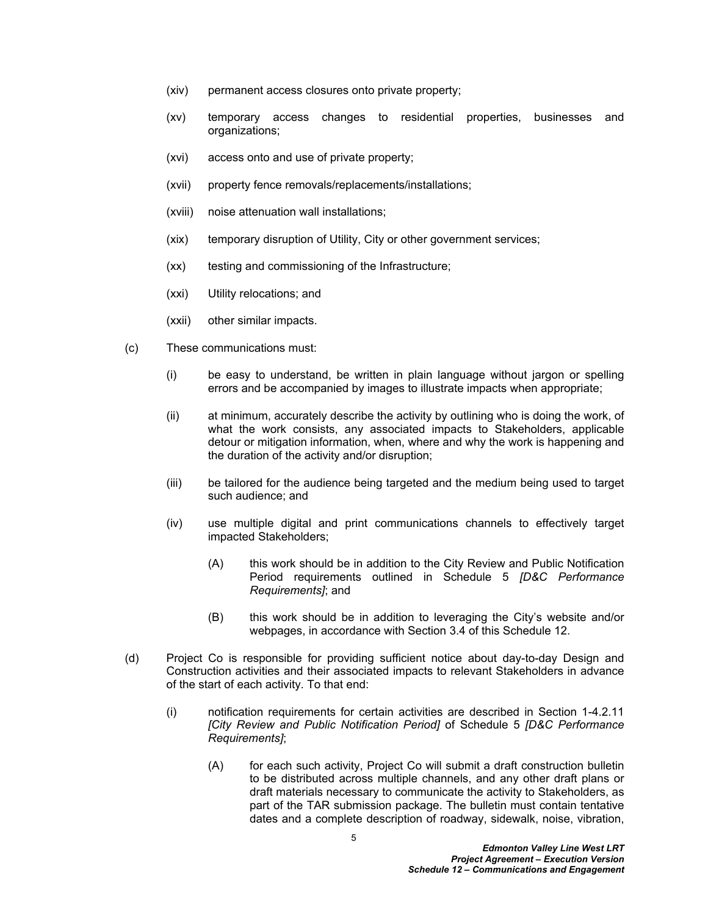- (xiv) permanent access closures onto private property;
- (xv) temporary access changes to residential properties, businesses and organizations;
- (xvi) access onto and use of private property;
- (xvii) property fence removals/replacements/installations;
- (xviii) noise attenuation wall installations;
- (xix) temporary disruption of Utility, City or other government services;
- (xx) testing and commissioning of the Infrastructure;
- (xxi) Utility relocations; and
- (xxii) other similar impacts.
- (c) These communications must:
	- (i) be easy to understand, be written in plain language without jargon or spelling errors and be accompanied by images to illustrate impacts when appropriate;
	- (ii) at minimum, accurately describe the activity by outlining who is doing the work, of what the work consists, any associated impacts to Stakeholders, applicable detour or mitigation information, when, where and why the work is happening and the duration of the activity and/or disruption;
	- (iii) be tailored for the audience being targeted and the medium being used to target such audience; and
	- (iv) use multiple digital and print communications channels to effectively target impacted Stakeholders;
		- (A) this work should be in addition to the City Review and Public Notification Period requirements outlined in Schedule 5 *[D&C Performance Requirements]*; and
		- (B) this work should be in addition to leveraging the City's website and/or webpages, in accordance with Section 3.4 of this Schedule 12.
- (d) Project Co is responsible for providing sufficient notice about day-to-day Design and Construction activities and their associated impacts to relevant Stakeholders in advance of the start of each activity. To that end:
	- (i) notification requirements for certain activities are described in Section 1-4.2.11 *[City Review and Public Notification Period]* of Schedule 5 *[D&C Performance Requirements]*;
		- (A) for each such activity, Project Co will submit a draft construction bulletin to be distributed across multiple channels, and any other draft plans or draft materials necessary to communicate the activity to Stakeholders, as part of the TAR submission package. The bulletin must contain tentative dates and a complete description of roadway, sidewalk, noise, vibration,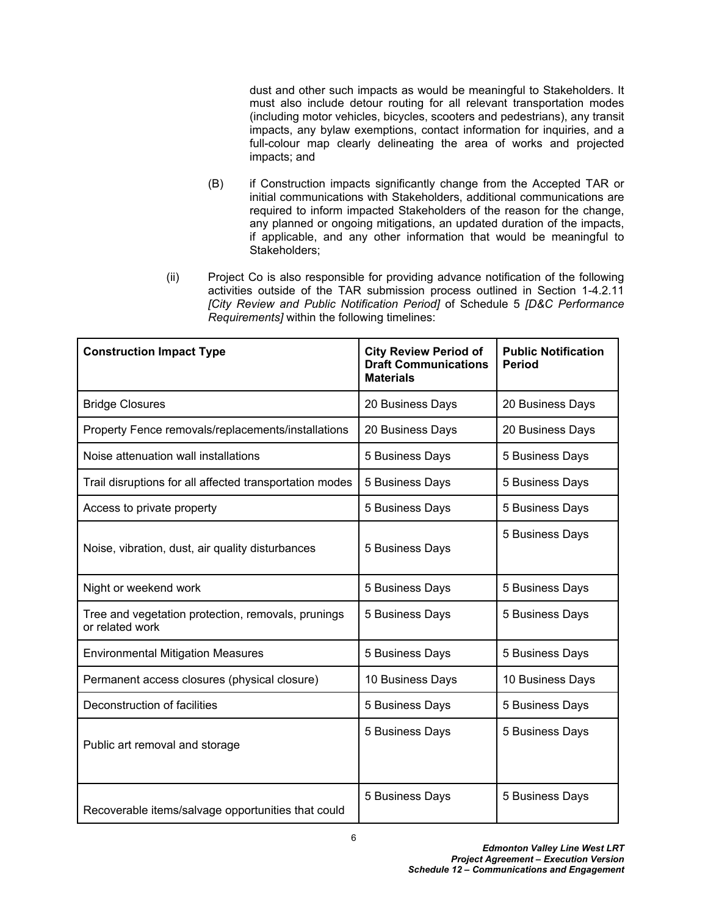dust and other such impacts as would be meaningful to Stakeholders. It must also include detour routing for all relevant transportation modes (including motor vehicles, bicycles, scooters and pedestrians), any transit impacts, any bylaw exemptions, contact information for inquiries, and a full-colour map clearly delineating the area of works and projected impacts; and

- (B) if Construction impacts significantly change from the Accepted TAR or initial communications with Stakeholders, additional communications are required to inform impacted Stakeholders of the reason for the change, any planned or ongoing mitigations, an updated duration of the impacts, if applicable, and any other information that would be meaningful to Stakeholders;
- (ii) Project Co is also responsible for providing advance notification of the following activities outside of the TAR submission process outlined in Section 1-4.2.11 *[City Review and Public Notification Period]* of Schedule 5 *[D&C Performance Requirements]* within the following timelines:

| <b>Construction Impact Type</b>                                       | <b>City Review Period of</b><br><b>Draft Communications</b><br><b>Materials</b> | <b>Public Notification</b><br><b>Period</b> |
|-----------------------------------------------------------------------|---------------------------------------------------------------------------------|---------------------------------------------|
| <b>Bridge Closures</b>                                                | 20 Business Days                                                                | 20 Business Days                            |
| Property Fence removals/replacements/installations                    | 20 Business Days                                                                | 20 Business Days                            |
| Noise attenuation wall installations                                  | 5 Business Days                                                                 | 5 Business Days                             |
| Trail disruptions for all affected transportation modes               | 5 Business Days                                                                 | 5 Business Days                             |
| Access to private property                                            | 5 Business Days                                                                 | 5 Business Days                             |
| Noise, vibration, dust, air quality disturbances                      | 5 Business Days                                                                 | 5 Business Days                             |
| Night or weekend work                                                 | 5 Business Days                                                                 | 5 Business Days                             |
| Tree and vegetation protection, removals, prunings<br>or related work | 5 Business Days                                                                 | 5 Business Days                             |
| <b>Environmental Mitigation Measures</b>                              | 5 Business Days                                                                 | 5 Business Days                             |
| Permanent access closures (physical closure)                          | 10 Business Days                                                                | 10 Business Days                            |
| Deconstruction of facilities                                          | 5 Business Days                                                                 | 5 Business Days                             |
| Public art removal and storage                                        | 5 Business Days                                                                 | 5 Business Days                             |
| Recoverable items/salvage opportunities that could                    | 5 Business Days                                                                 | 5 Business Days                             |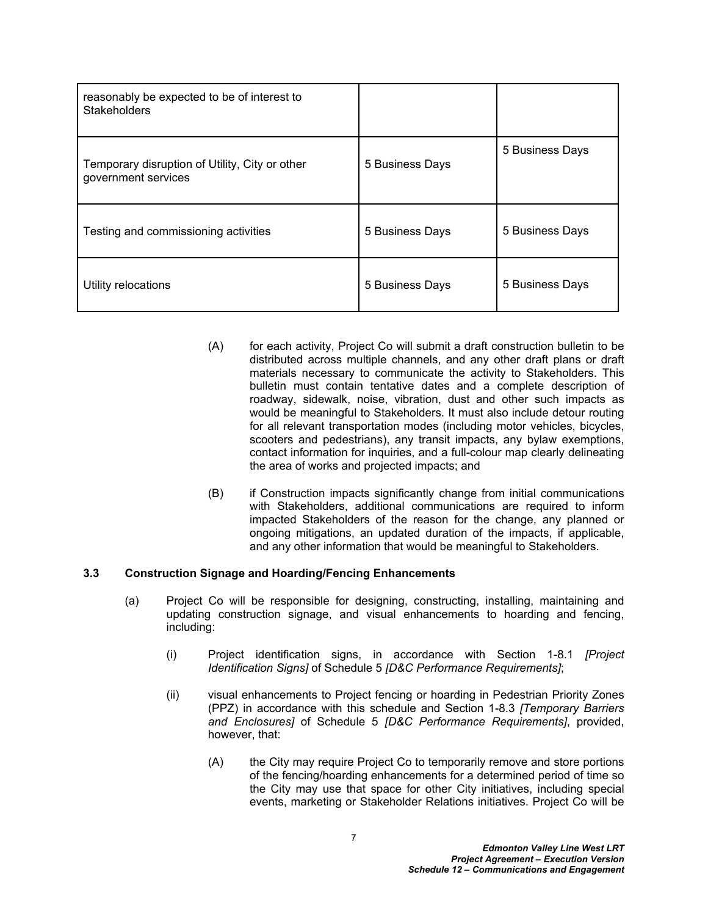| reasonably be expected to be of interest to<br><b>Stakeholders</b>    |                 |                 |
|-----------------------------------------------------------------------|-----------------|-----------------|
| Temporary disruption of Utility, City or other<br>government services | 5 Business Days | 5 Business Days |
| Testing and commissioning activities                                  | 5 Business Days | 5 Business Days |
| Utility relocations                                                   | 5 Business Days | 5 Business Days |

- (A) for each activity, Project Co will submit a draft construction bulletin to be distributed across multiple channels, and any other draft plans or draft materials necessary to communicate the activity to Stakeholders. This bulletin must contain tentative dates and a complete description of roadway, sidewalk, noise, vibration, dust and other such impacts as would be meaningful to Stakeholders. It must also include detour routing for all relevant transportation modes (including motor vehicles, bicycles, scooters and pedestrians), any transit impacts, any bylaw exemptions, contact information for inquiries, and a full-colour map clearly delineating the area of works and projected impacts; and
- (B) if Construction impacts significantly change from initial communications with Stakeholders, additional communications are required to inform impacted Stakeholders of the reason for the change, any planned or ongoing mitigations, an updated duration of the impacts, if applicable, and any other information that would be meaningful to Stakeholders.

## <span id="page-8-0"></span>**3.3 Construction Signage and Hoarding/Fencing Enhancements**

- (a) Project Co will be responsible for designing, constructing, installing, maintaining and updating construction signage, and visual enhancements to hoarding and fencing, including:
	- (i) Project identification signs, in accordance with Section 1-8.1 *[Project Identification Signs]* of Schedule 5 *[D&C Performance Requirements]*;
	- (ii) visual enhancements to Project fencing or hoarding in Pedestrian Priority Zones (PPZ) in accordance with this schedule and Section 1-8.3 *[Temporary Barriers and Enclosures]* of Schedule 5 *[D&C Performance Requirements]*, provided, however, that:
		- (A) the City may require Project Co to temporarily remove and store portions of the fencing/hoarding enhancements for a determined period of time so the City may use that space for other City initiatives, including special events, marketing or Stakeholder Relations initiatives. Project Co will be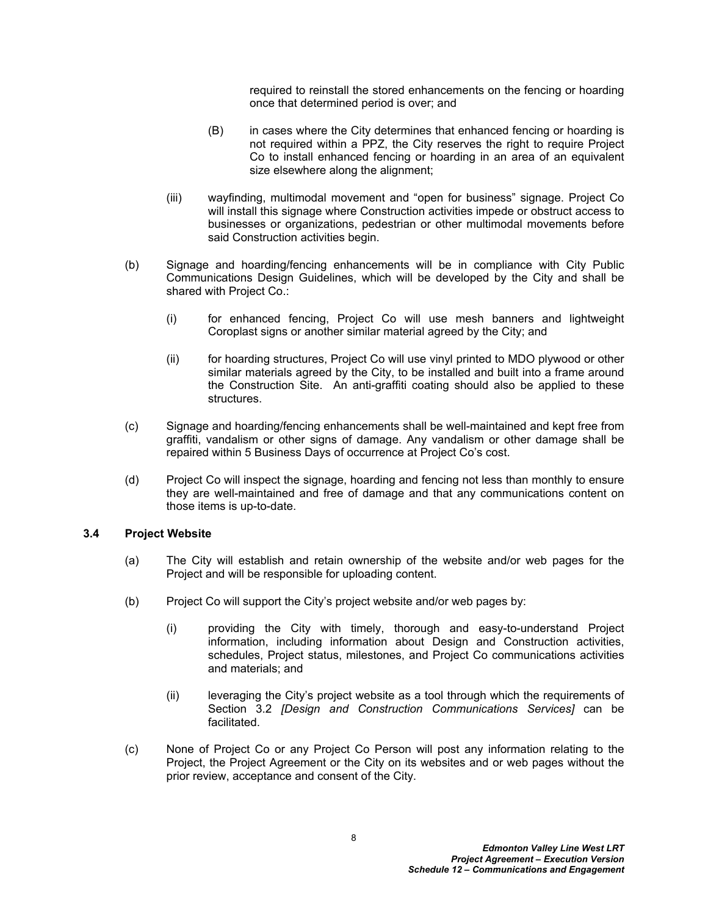required to reinstall the stored enhancements on the fencing or hoarding once that determined period is over; and

- (B) in cases where the City determines that enhanced fencing or hoarding is not required within a PPZ, the City reserves the right to require Project Co to install enhanced fencing or hoarding in an area of an equivalent size elsewhere along the alignment;
- (iii) wayfinding, multimodal movement and "open for business" signage. Project Co will install this signage where Construction activities impede or obstruct access to businesses or organizations, pedestrian or other multimodal movements before said Construction activities begin.
- (b) Signage and hoarding/fencing enhancements will be in compliance with City Public Communications Design Guidelines, which will be developed by the City and shall be shared with Project Co.:
	- (i) for enhanced fencing, Project Co will use mesh banners and lightweight Coroplast signs or another similar material agreed by the City; and
	- (ii) for hoarding structures, Project Co will use vinyl printed to MDO plywood or other similar materials agreed by the City, to be installed and built into a frame around the Construction Site. An anti-graffiti coating should also be applied to these structures.
- (c) Signage and hoarding/fencing enhancements shall be well-maintained and kept free from graffiti, vandalism or other signs of damage. Any vandalism or other damage shall be repaired within 5 Business Days of occurrence at Project Co's cost.
- (d) Project Co will inspect the signage, hoarding and fencing not less than monthly to ensure they are well-maintained and free of damage and that any communications content on those items is up-to-date.

#### <span id="page-9-0"></span>**3.4 Project Website**

- (a) The City will establish and retain ownership of the website and/or web pages for the Project and will be responsible for uploading content.
- (b) Project Co will support the City's project website and/or web pages by:
	- (i) providing the City with timely, thorough and easy-to-understand Project information, including information about Design and Construction activities, schedules, Project status, milestones, and Project Co communications activities and materials; and
	- (ii) leveraging the City's project website as a tool through which the requirements of Section 3.2 *[Design and Construction Communications Services]* can be facilitated.
- (c) None of Project Co or any Project Co Person will post any information relating to the Project, the Project Agreement or the City on its websites and or web pages without the prior review, acceptance and consent of the City.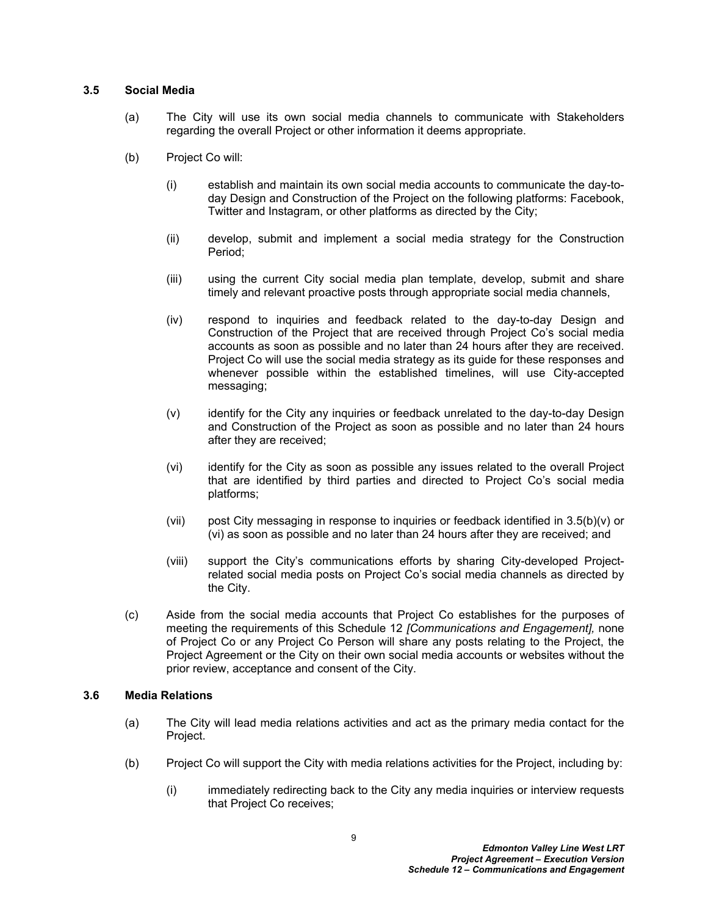#### <span id="page-10-0"></span>**3.5 Social Media**

- (a) The City will use its own social media channels to communicate with Stakeholders regarding the overall Project or other information it deems appropriate.
- (b) Project Co will:
	- (i) establish and maintain its own social media accounts to communicate the day-today Design and Construction of the Project on the following platforms: Facebook, Twitter and Instagram, or other platforms as directed by the City;
	- (ii) develop, submit and implement a social media strategy for the Construction Period;
	- (iii) using the current City social media plan template, develop, submit and share timely and relevant proactive posts through appropriate social media channels,
	- (iv) respond to inquiries and feedback related to the day-to-day Design and Construction of the Project that are received through Project Co's social media accounts as soon as possible and no later than 24 hours after they are received. Project Co will use the social media strategy as its guide for these responses and whenever possible within the established timelines, will use City-accepted messaging;
	- (v) identify for the City any inquiries or feedback unrelated to the day-to-day Design and Construction of the Project as soon as possible and no later than 24 hours after they are received;
	- (vi) identify for the City as soon as possible any issues related to the overall Project that are identified by third parties and directed to Project Co's social media platforms;
	- (vii) post City messaging in response to inquiries or feedback identified in [3.5\(b\)\(v\)](#page-10-2) or [\(vi\)](#page-10-3) as soon as possible and no later than 24 hours after they are received; and
	- (viii) support the City's communications efforts by sharing City-developed Projectrelated social media posts on Project Co's social media channels as directed by the City.
- <span id="page-10-3"></span><span id="page-10-2"></span>(c) Aside from the social media accounts that Project Co establishes for the purposes of meeting the requirements of this Schedule 12 *[Communications and Engagement],* none of Project Co or any Project Co Person will share any posts relating to the Project, the Project Agreement or the City on their own social media accounts or websites without the prior review, acceptance and consent of the City.

# <span id="page-10-1"></span>**3.6 Media Relations**

- (a) The City will lead media relations activities and act as the primary media contact for the Project.
- (b) Project Co will support the City with media relations activities for the Project, including by:
	- (i) immediately redirecting back to the City any media inquiries or interview requests that Project Co receives;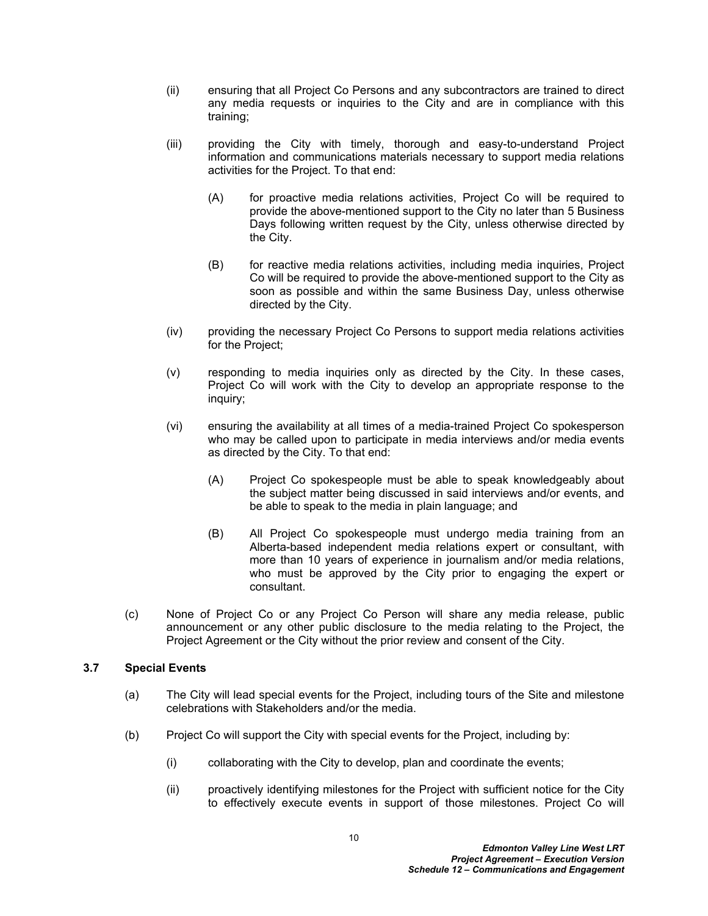- (ii) ensuring that all Project Co Persons and any subcontractors are trained to direct any media requests or inquiries to the City and are in compliance with this training;
- (iii) providing the City with timely, thorough and easy-to-understand Project information and communications materials necessary to support media relations activities for the Project. To that end:
	- (A) for proactive media relations activities, Project Co will be required to provide the above-mentioned support to the City no later than 5 Business Days following written request by the City, unless otherwise directed by the City.
	- (B) for reactive media relations activities, including media inquiries, Project Co will be required to provide the above-mentioned support to the City as soon as possible and within the same Business Day, unless otherwise directed by the City.
- (iv) providing the necessary Project Co Persons to support media relations activities for the Project;
- (v) responding to media inquiries only as directed by the City. In these cases, Project Co will work with the City to develop an appropriate response to the inquiry;
- (vi) ensuring the availability at all times of a media-trained Project Co spokesperson who may be called upon to participate in media interviews and/or media events as directed by the City. To that end:
	- (A) Project Co spokespeople must be able to speak knowledgeably about the subject matter being discussed in said interviews and/or events, and be able to speak to the media in plain language; and
	- (B) All Project Co spokespeople must undergo media training from an Alberta-based independent media relations expert or consultant, with more than 10 years of experience in journalism and/or media relations, who must be approved by the City prior to engaging the expert or consultant.
- (c) None of Project Co or any Project Co Person will share any media release, public announcement or any other public disclosure to the media relating to the Project, the Project Agreement or the City without the prior review and consent of the City.

# <span id="page-11-0"></span>**3.7 Special Events**

- (a) The City will lead special events for the Project, including tours of the Site and milestone celebrations with Stakeholders and/or the media.
- (b) Project Co will support the City with special events for the Project, including by:
	- (i) collaborating with the City to develop, plan and coordinate the events;
	- (ii) proactively identifying milestones for the Project with sufficient notice for the City to effectively execute events in support of those milestones. Project Co will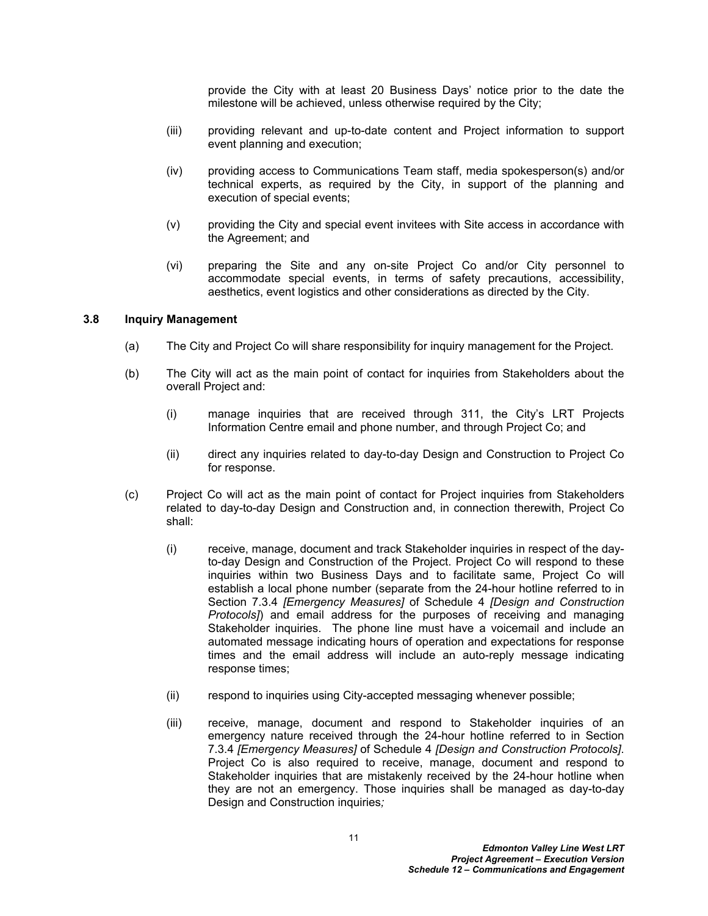provide the City with at least 20 Business Days' notice prior to the date the milestone will be achieved, unless otherwise required by the City;

- (iii) providing relevant and up-to-date content and Project information to support event planning and execution;
- (iv) providing access to Communications Team staff, media spokesperson(s) and/or technical experts, as required by the City, in support of the planning and execution of special events;
- (v) providing the City and special event invitees with Site access in accordance with the Agreement; and
- (vi) preparing the Site and any on-site Project Co and/or City personnel to accommodate special events, in terms of safety precautions, accessibility, aesthetics, event logistics and other considerations as directed by the City.

#### <span id="page-12-0"></span>**3.8 Inquiry Management**

- (a) The City and Project Co will share responsibility for inquiry management for the Project.
- (b) The City will act as the main point of contact for inquiries from Stakeholders about the overall Project and:
	- (i) manage inquiries that are received through 311, the City's LRT Projects Information Centre email and phone number, and through Project Co; and
	- (ii) direct any inquiries related to day-to-day Design and Construction to Project Co for response.
- (c) Project Co will act as the main point of contact for Project inquiries from Stakeholders related to day-to-day Design and Construction and, in connection therewith, Project Co shall:
	- (i) receive, manage, document and track Stakeholder inquiries in respect of the dayto-day Design and Construction of the Project. Project Co will respond to these inquiries within two Business Days and to facilitate same, Project Co will establish a local phone number (separate from the 24-hour hotline referred to in Section 7.3.4 *[Emergency Measures]* of Schedule 4 *[Design and Construction Protocols]*) and email address for the purposes of receiving and managing Stakeholder inquiries. The phone line must have a voicemail and include an automated message indicating hours of operation and expectations for response times and the email address will include an auto-reply message indicating response times;
	- (ii) respond to inquiries using City-accepted messaging whenever possible;
	- (iii) receive, manage, document and respond to Stakeholder inquiries of an emergency nature received through the 24-hour hotline referred to in Section 7.3.4 *[Emergency Measures]* of Schedule 4 *[Design and Construction Protocols]*. Project Co is also required to receive, manage, document and respond to Stakeholder inquiries that are mistakenly received by the 24-hour hotline when they are not an emergency. Those inquiries shall be managed as day-to-day Design and Construction inquiries*;*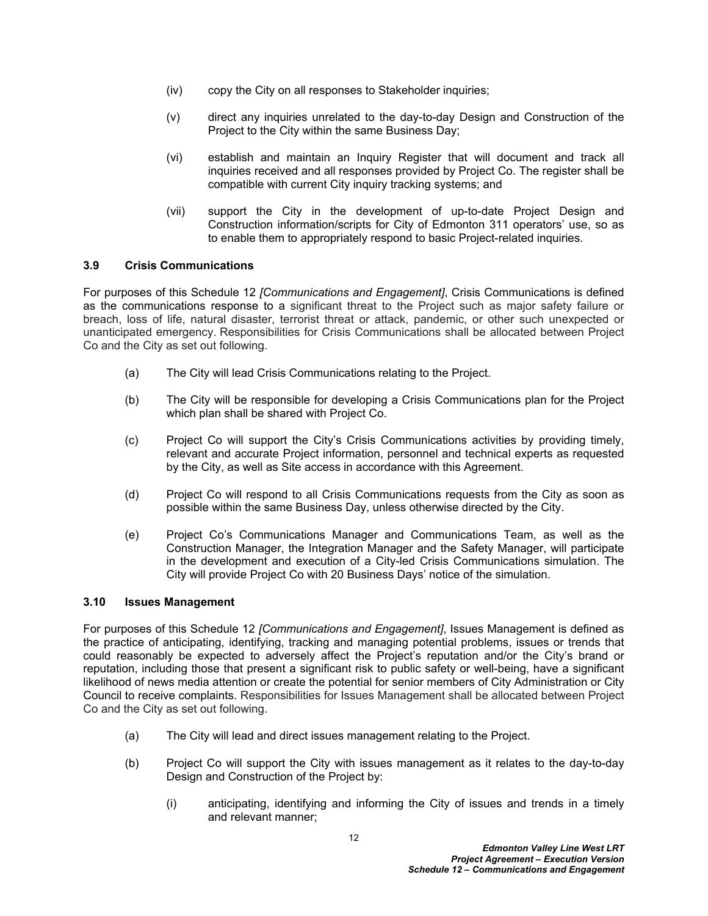- (iv) copy the City on all responses to Stakeholder inquiries;
- (v) direct any inquiries unrelated to the day-to-day Design and Construction of the Project to the City within the same Business Day;
- (vi) establish and maintain an Inquiry Register that will document and track all inquiries received and all responses provided by Project Co. The register shall be compatible with current City inquiry tracking systems; and
- (vii) support the City in the development of up-to-date Project Design and Construction information/scripts for City of Edmonton 311 operators' use, so as to enable them to appropriately respond to basic Project-related inquiries.

# <span id="page-13-0"></span>**3.9 Crisis Communications**

For purposes of this Schedule 12 *[Communications and Engagement]*, Crisis Communications is defined as the communications response to a significant threat to the Project such as major safety failure or breach, loss of life, natural disaster, terrorist threat or attack, pandemic, or other such unexpected or unanticipated emergency. Responsibilities for Crisis Communications shall be allocated between Project Co and the City as set out following.

- (a) The City will lead Crisis Communications relating to the Project.
- (b) The City will be responsible for developing a Crisis Communications plan for the Project which plan shall be shared with Project Co.
- (c) Project Co will support the City's Crisis Communications activities by providing timely, relevant and accurate Project information, personnel and technical experts as requested by the City, as well as Site access in accordance with this Agreement.
- (d) Project Co will respond to all Crisis Communications requests from the City as soon as possible within the same Business Day, unless otherwise directed by the City.
- (e) Project Co's Communications Manager and Communications Team, as well as the Construction Manager, the Integration Manager and the Safety Manager, will participate in the development and execution of a City-led Crisis Communications simulation. The City will provide Project Co with 20 Business Days' notice of the simulation.

#### <span id="page-13-1"></span>**3.10 Issues Management**

For purposes of this Schedule 12 *[Communications and Engagement]*, Issues Management is defined as the practice of anticipating, identifying, tracking and managing potential problems, issues or trends that could reasonably be expected to adversely affect the Project's reputation and/or the City's brand or reputation, including those that present a significant risk to public safety or well-being, have a significant likelihood of news media attention or create the potential for senior members of City Administration or City Council to receive complaints. Responsibilities for Issues Management shall be allocated between Project Co and the City as set out following.

- (a) The City will lead and direct issues management relating to the Project.
- (b) Project Co will support the City with issues management as it relates to the day-to-day Design and Construction of the Project by:
	- (i) anticipating, identifying and informing the City of issues and trends in a timely and relevant manner;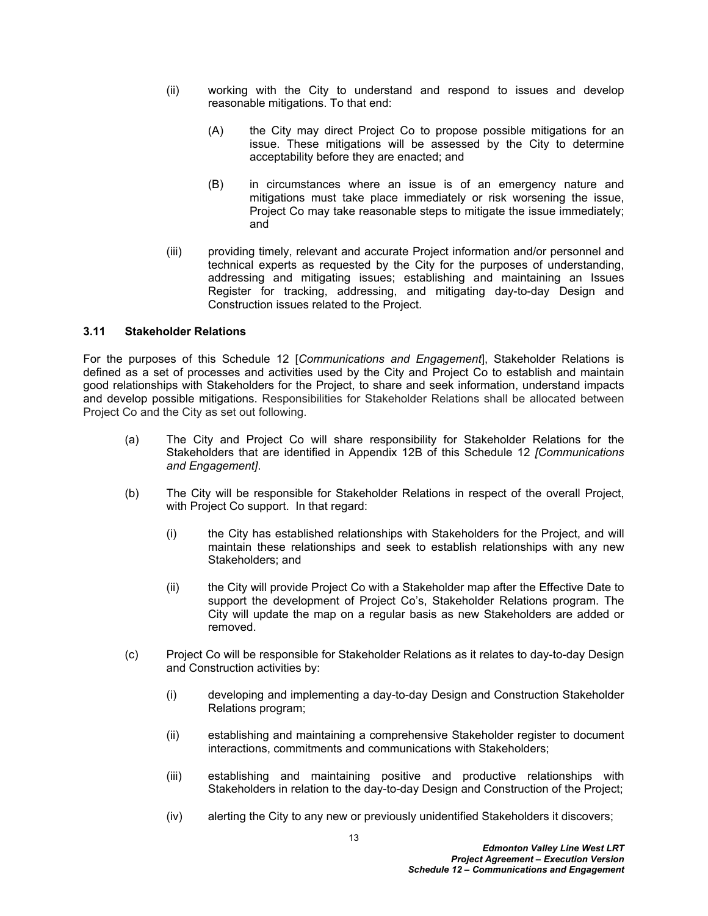- (ii) working with the City to understand and respond to issues and develop reasonable mitigations. To that end:
	- (A) the City may direct Project Co to propose possible mitigations for an issue. These mitigations will be assessed by the City to determine acceptability before they are enacted; and
	- (B) in circumstances where an issue is of an emergency nature and mitigations must take place immediately or risk worsening the issue, Project Co may take reasonable steps to mitigate the issue immediately; and
- (iii) providing timely, relevant and accurate Project information and/or personnel and technical experts as requested by the City for the purposes of understanding, addressing and mitigating issues; establishing and maintaining an Issues Register for tracking, addressing, and mitigating day-to-day Design and Construction issues related to the Project.

# <span id="page-14-0"></span>**3.11 Stakeholder Relations**

For the purposes of this Schedule 12 [*Communications and Engagement*], Stakeholder Relations is defined as a set of processes and activities used by the City and Project Co to establish and maintain good relationships with Stakeholders for the Project, to share and seek information, understand impacts and develop possible mitigations. Responsibilities for Stakeholder Relations shall be allocated between Project Co and the City as set out following.

- (a) The City and Project Co will share responsibility for Stakeholder Relations for the Stakeholders that are identified in Appendix 12B of this Schedule 12 *[Communications and Engagement]*.
- (b) The City will be responsible for Stakeholder Relations in respect of the overall Project, with Project Co support. In that regard:
	- (i) the City has established relationships with Stakeholders for the Project, and will maintain these relationships and seek to establish relationships with any new Stakeholders; and
	- (ii) the City will provide Project Co with a Stakeholder map after the Effective Date to support the development of Project Co's, Stakeholder Relations program. The City will update the map on a regular basis as new Stakeholders are added or removed.
- (c) Project Co will be responsible for Stakeholder Relations as it relates to day-to-day Design and Construction activities by:
	- (i) developing and implementing a day-to-day Design and Construction Stakeholder Relations program;
	- (ii) establishing and maintaining a comprehensive Stakeholder register to document interactions, commitments and communications with Stakeholders;
	- (iii) establishing and maintaining positive and productive relationships with Stakeholders in relation to the day-to-day Design and Construction of the Project;
	- (iv) alerting the City to any new or previously unidentified Stakeholders it discovers;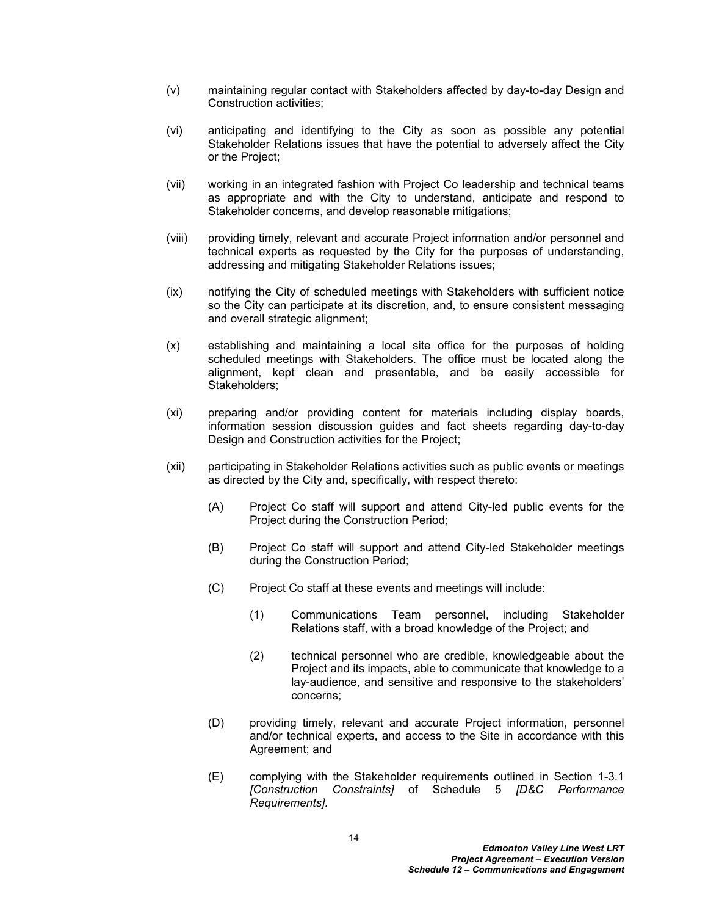- (v) maintaining regular contact with Stakeholders affected by day-to-day Design and Construction activities;
- (vi) anticipating and identifying to the City as soon as possible any potential Stakeholder Relations issues that have the potential to adversely affect the City or the Project;
- (vii) working in an integrated fashion with Project Co leadership and technical teams as appropriate and with the City to understand, anticipate and respond to Stakeholder concerns, and develop reasonable mitigations;
- (viii) providing timely, relevant and accurate Project information and/or personnel and technical experts as requested by the City for the purposes of understanding, addressing and mitigating Stakeholder Relations issues;
- (ix) notifying the City of scheduled meetings with Stakeholders with sufficient notice so the City can participate at its discretion, and, to ensure consistent messaging and overall strategic alignment;
- (x) establishing and maintaining a local site office for the purposes of holding scheduled meetings with Stakeholders. The office must be located along the alignment, kept clean and presentable, and be easily accessible for Stakeholders;
- (xi) preparing and/or providing content for materials including display boards, information session discussion guides and fact sheets regarding day-to-day Design and Construction activities for the Project;
- (xii) participating in Stakeholder Relations activities such as public events or meetings as directed by the City and, specifically, with respect thereto:
	- (A) Project Co staff will support and attend City-led public events for the Project during the Construction Period;
	- (B) Project Co staff will support and attend City-led Stakeholder meetings during the Construction Period;
	- (C) Project Co staff at these events and meetings will include:
		- (1) Communications Team personnel, including Stakeholder Relations staff, with a broad knowledge of the Project; and
		- (2) technical personnel who are credible, knowledgeable about the Project and its impacts, able to communicate that knowledge to a lay-audience, and sensitive and responsive to the stakeholders' concerns;
	- (D) providing timely, relevant and accurate Project information, personnel and/or technical experts, and access to the Site in accordance with this Agreement; and
	- (E) complying with the Stakeholder requirements outlined in Section 1-3.1 *[Construction Constraints]* of Schedule 5 *[D&C Performance Requirements].*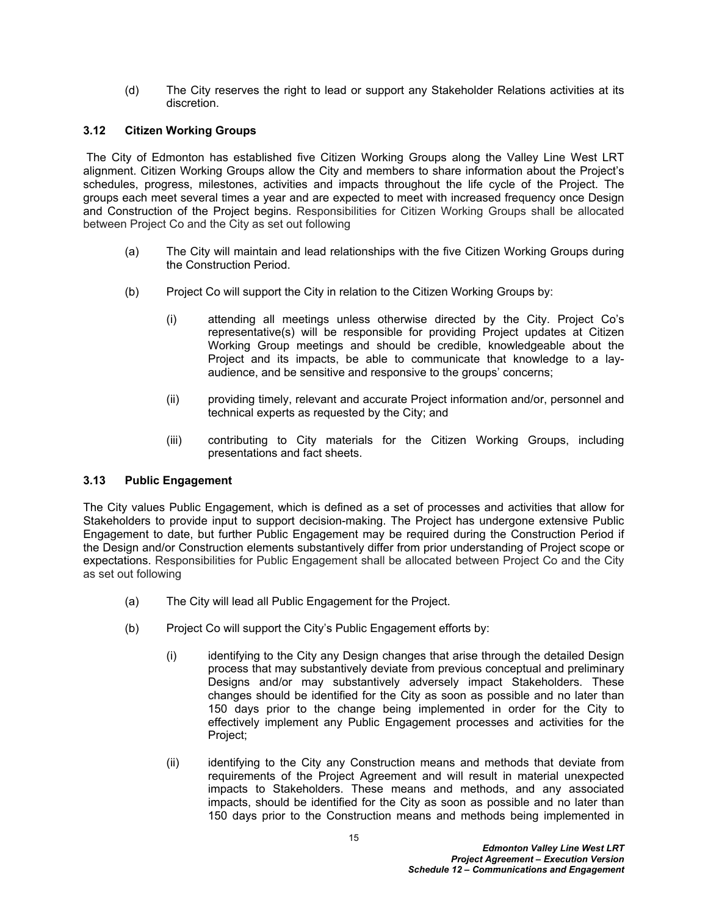(d) The City reserves the right to lead or support any Stakeholder Relations activities at its discretion.

# <span id="page-16-0"></span>**3.12 Citizen Working Groups**

 The City of Edmonton has established five Citizen Working Groups along the Valley Line West LRT alignment. Citizen Working Groups allow the City and members to share information about the Project's schedules, progress, milestones, activities and impacts throughout the life cycle of the Project. The groups each meet several times a year and are expected to meet with increased frequency once Design and Construction of the Project begins. Responsibilities for Citizen Working Groups shall be allocated between Project Co and the City as set out following

- (a) The City will maintain and lead relationships with the five Citizen Working Groups during the Construction Period.
- (b) Project Co will support the City in relation to the Citizen Working Groups by:
	- (i) attending all meetings unless otherwise directed by the City. Project Co's representative(s) will be responsible for providing Project updates at Citizen Working Group meetings and should be credible, knowledgeable about the Project and its impacts, be able to communicate that knowledge to a layaudience, and be sensitive and responsive to the groups' concerns;
	- (ii) providing timely, relevant and accurate Project information and/or, personnel and technical experts as requested by the City; and
	- (iii) contributing to City materials for the Citizen Working Groups, including presentations and fact sheets.

# <span id="page-16-1"></span>**3.13 Public Engagement**

The City values Public Engagement, which is defined as a set of processes and activities that allow for Stakeholders to provide input to support decision-making. The Project has undergone extensive Public Engagement to date, but further Public Engagement may be required during the Construction Period if the Design and/or Construction elements substantively differ from prior understanding of Project scope or expectations. Responsibilities for Public Engagement shall be allocated between Project Co and the City as set out following

- (a) The City will lead all Public Engagement for the Project.
- (b) Project Co will support the City's Public Engagement efforts by:
	- (i) identifying to the City any Design changes that arise through the detailed Design process that may substantively deviate from previous conceptual and preliminary Designs and/or may substantively adversely impact Stakeholders. These changes should be identified for the City as soon as possible and no later than 150 days prior to the change being implemented in order for the City to effectively implement any Public Engagement processes and activities for the Project;
	- (ii) identifying to the City any Construction means and methods that deviate from requirements of the Project Agreement and will result in material unexpected impacts to Stakeholders. These means and methods, and any associated impacts, should be identified for the City as soon as possible and no later than 150 days prior to the Construction means and methods being implemented in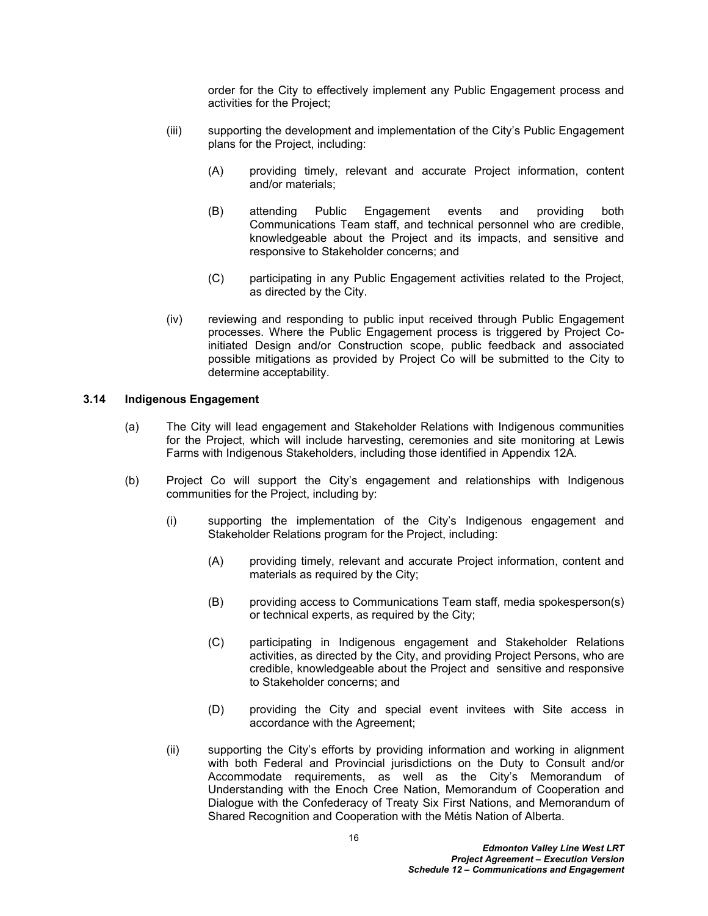order for the City to effectively implement any Public Engagement process and activities for the Project;

- (iii) supporting the development and implementation of the City's Public Engagement plans for the Project, including:
	- (A) providing timely, relevant and accurate Project information, content and/or materials;
	- (B) attending Public Engagement events and providing both Communications Team staff, and technical personnel who are credible, knowledgeable about the Project and its impacts, and sensitive and responsive to Stakeholder concerns; and
	- (C) participating in any Public Engagement activities related to the Project, as directed by the City.
- (iv) reviewing and responding to public input received through Public Engagement processes. Where the Public Engagement process is triggered by Project Coinitiated Design and/or Construction scope, public feedback and associated possible mitigations as provided by Project Co will be submitted to the City to determine acceptability.

#### <span id="page-17-0"></span>**3.14 Indigenous Engagement**

- (a) The City will lead engagement and Stakeholder Relations with Indigenous communities for the Project, which will include harvesting, ceremonies and site monitoring at Lewis Farms with Indigenous Stakeholders, including those identified in Appendix 12A.
- (b) Project Co will support the City's engagement and relationships with Indigenous communities for the Project, including by:
	- (i) supporting the implementation of the City's Indigenous engagement and Stakeholder Relations program for the Project, including:
		- (A) providing timely, relevant and accurate Project information, content and materials as required by the City;
		- (B) providing access to Communications Team staff, media spokesperson(s) or technical experts, as required by the City;
		- (C) participating in Indigenous engagement and Stakeholder Relations activities, as directed by the City, and providing Project Persons, who are credible, knowledgeable about the Project and sensitive and responsive to Stakeholder concerns; and
		- (D) providing the City and special event invitees with Site access in accordance with the Agreement;
	- (ii) supporting the City's efforts by providing information and working in alignment with both Federal and Provincial jurisdictions on the Duty to Consult and/or Accommodate requirements, as well as the City's Memorandum of Understanding with the Enoch Cree Nation, Memorandum of Cooperation and Dialogue with the Confederacy of Treaty Six First Nations, and Memorandum of Shared Recognition and Cooperation with the Métis Nation of Alberta.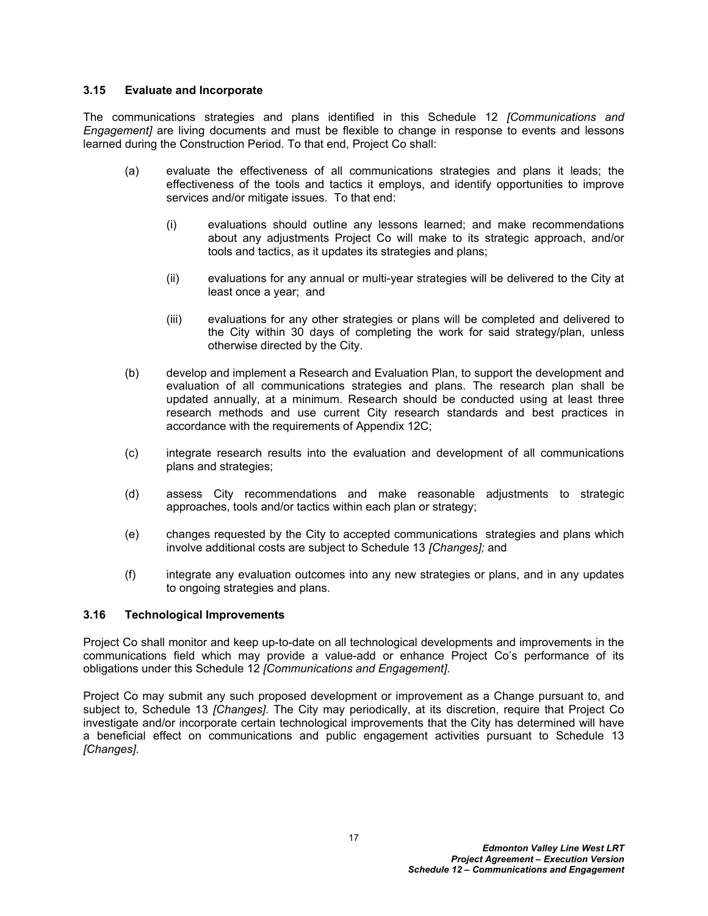# <span id="page-18-0"></span>**3.15 Evaluate and Incorporate**

The communications strategies and plans identified in this Schedule 12 *[Communications and Engagement]* are living documents and must be flexible to change in response to events and lessons learned during the Construction Period. To that end, Project Co shall:

- (a) evaluate the effectiveness of all communications strategies and plans it leads; the effectiveness of the tools and tactics it employs, and identify opportunities to improve services and/or mitigate issues. To that end:
	- (i) evaluations should outline any lessons learned; and make recommendations about any adjustments Project Co will make to its strategic approach, and/or tools and tactics, as it updates its strategies and plans;
	- (ii) evaluations for any annual or multi-year strategies will be delivered to the City at least once a year; and
	- (iii) evaluations for any other strategies or plans will be completed and delivered to the City within 30 days of completing the work for said strategy/plan, unless otherwise directed by the City.
- (b) develop and implement a Research and Evaluation Plan, to support the development and evaluation of all communications strategies and plans. The research plan shall be updated annually, at a minimum. Research should be conducted using at least three research methods and use current City research standards and best practices in accordance with the requirements of Appendix 12C;
- (c) integrate research results into the evaluation and development of all communications plans and strategies;
- (d) assess City recommendations and make reasonable adjustments to strategic approaches, tools and/or tactics within each plan or strategy;
- (e) changes requested by the City to accepted communications strategies and plans which involve additional costs are subject to Schedule 13 *[Changes];* and
- (f) integrate any evaluation outcomes into any new strategies or plans, and in any updates to ongoing strategies and plans.

# <span id="page-18-1"></span>**3.16 Technological Improvements**

Project Co shall monitor and keep up-to-date on all technological developments and improvements in the communications field which may provide a value-add or enhance Project Co's performance of its obligations under this Schedule 12 *[Communications and Engagement]*.

Project Co may submit any such proposed development or improvement as a Change pursuant to, and subject to, Schedule 13 *[Changes]*. The City may periodically, at its discretion, require that Project Co investigate and/or incorporate certain technological improvements that the City has determined will have a beneficial effect on communications and public engagement activities pursuant to Schedule 13 *[Changes]*.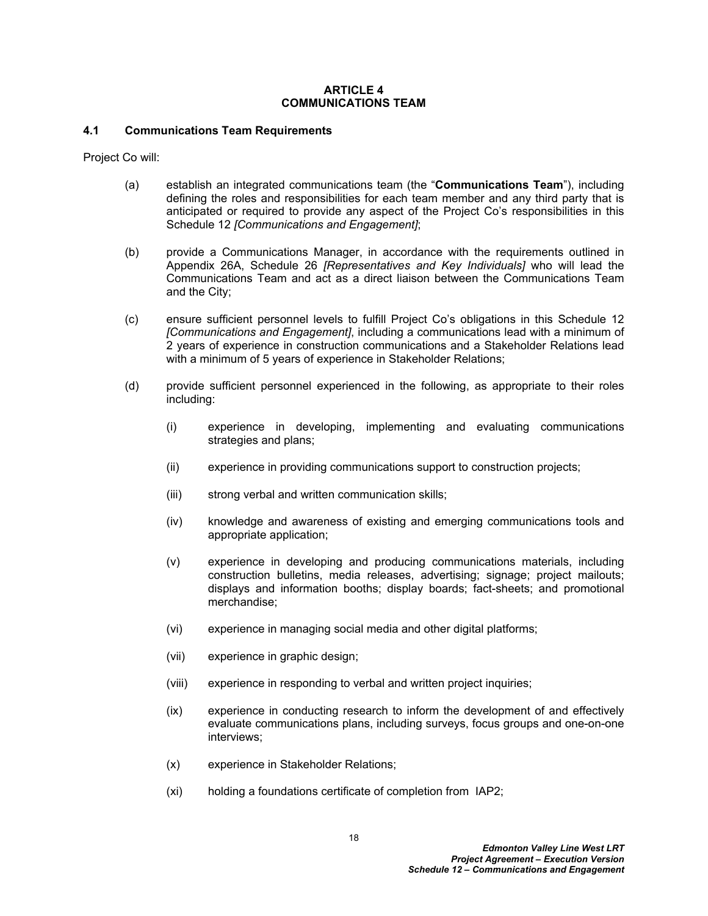#### <span id="page-19-0"></span>**ARTICLE 4 COMMUNICATIONS TEAM**

# <span id="page-19-1"></span>**4.1 Communications Team Requirements**

Project Co will:

- (a) establish an integrated communications team (the "**Communications Team**"), including defining the roles and responsibilities for each team member and any third party that is anticipated or required to provide any aspect of the Project Co's responsibilities in this Schedule 12 *[Communications and Engagement]*;
- (b) provide a Communications Manager, in accordance with the requirements outlined in Appendix 26A, Schedule 26 *[Representatives and Key Individuals]* who will lead the Communications Team and act as a direct liaison between the Communications Team and the City;
- (c) ensure sufficient personnel levels to fulfill Project Co's obligations in this Schedule 12 *[Communications and Engagement]*, including a communications lead with a minimum of 2 years of experience in construction communications and a Stakeholder Relations lead with a minimum of 5 years of experience in Stakeholder Relations;
- (d) provide sufficient personnel experienced in the following, as appropriate to their roles including:
	- (i) experience in developing, implementing and evaluating communications strategies and plans;
	- (ii) experience in providing communications support to construction projects;
	- (iii) strong verbal and written communication skills;
	- (iv) knowledge and awareness of existing and emerging communications tools and appropriate application;
	- (v) experience in developing and producing communications materials, including construction bulletins, media releases, advertising; signage; project mailouts; displays and information booths; display boards; fact-sheets; and promotional merchandise;
	- (vi) experience in managing social media and other digital platforms;
	- (vii) experience in graphic design;
	- (viii) experience in responding to verbal and written project inquiries;
	- (ix) experience in conducting research to inform the development of and effectively evaluate communications plans, including surveys, focus groups and one-on-one interviews;
	- (x) experience in Stakeholder Relations;
	- (xi) holding a foundations certificate of completion from IAP2;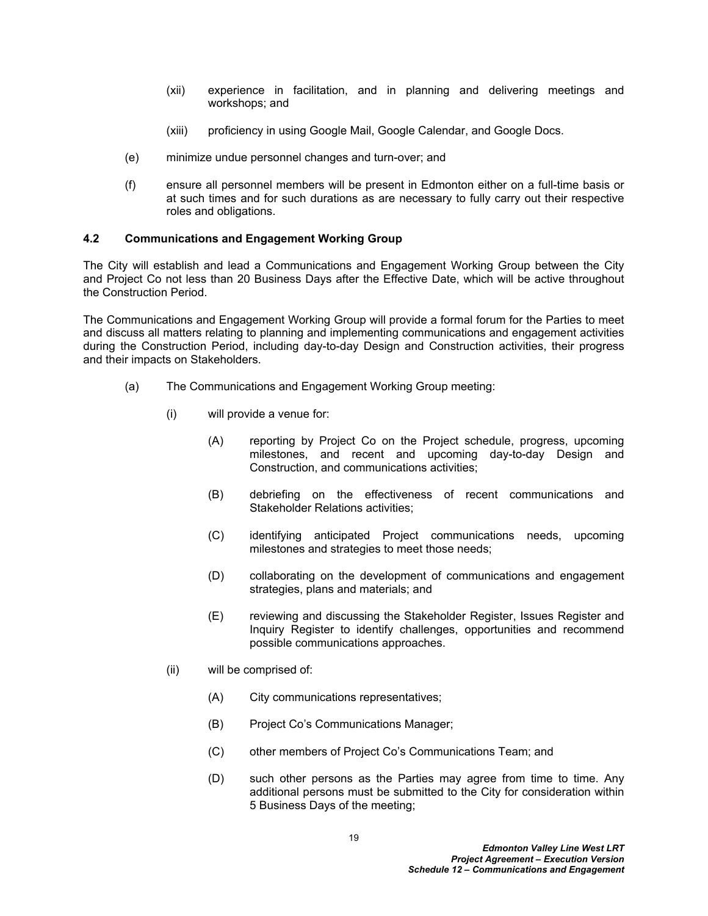- (xii) experience in facilitation, and in planning and delivering meetings and workshops; and
- (xiii) proficiency in using Google Mail, Google Calendar, and Google Docs.
- (e) minimize undue personnel changes and turn-over; and
- (f) ensure all personnel members will be present in Edmonton either on a full-time basis or at such times and for such durations as are necessary to fully carry out their respective roles and obligations.

# <span id="page-20-0"></span>**4.2 Communications and Engagement Working Group**

The City will establish and lead a Communications and Engagement Working Group between the City and Project Co not less than 20 Business Days after the Effective Date, which will be active throughout the Construction Period.

The Communications and Engagement Working Group will provide a formal forum for the Parties to meet and discuss all matters relating to planning and implementing communications and engagement activities during the Construction Period, including day-to-day Design and Construction activities, their progress and their impacts on Stakeholders.

- (a) The Communications and Engagement Working Group meeting:
	- (i) will provide a venue for:
		- (A) reporting by Project Co on the Project schedule, progress, upcoming milestones, and recent and upcoming day-to-day Design and Construction, and communications activities;
		- (B) debriefing on the effectiveness of recent communications and Stakeholder Relations activities;
		- (C) identifying anticipated Project communications needs, upcoming milestones and strategies to meet those needs;
		- (D) collaborating on the development of communications and engagement strategies, plans and materials; and
		- (E) reviewing and discussing the Stakeholder Register, Issues Register and Inquiry Register to identify challenges, opportunities and recommend possible communications approaches.
	- (ii) will be comprised of:
		- (A) City communications representatives;
		- (B) Project Co's Communications Manager;
		- (C) other members of Project Co's Communications Team; and
		- (D) such other persons as the Parties may agree from time to time. Any additional persons must be submitted to the City for consideration within 5 Business Days of the meeting;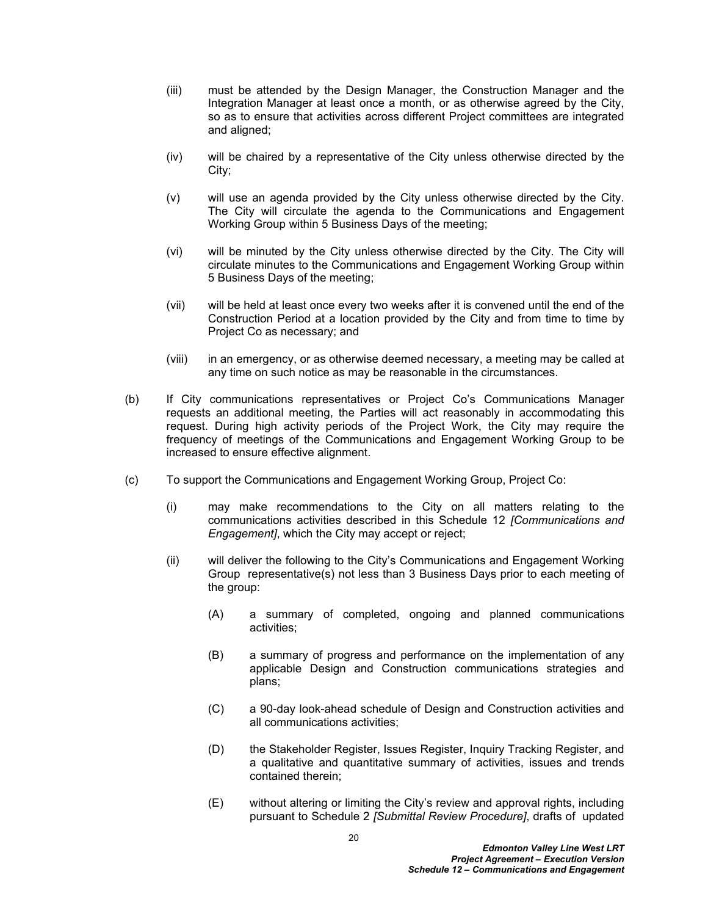- (iii) must be attended by the Design Manager, the Construction Manager and the Integration Manager at least once a month, or as otherwise agreed by the City, so as to ensure that activities across different Project committees are integrated and aligned;
- (iv) will be chaired by a representative of the City unless otherwise directed by the City;
- (v) will use an agenda provided by the City unless otherwise directed by the City. The City will circulate the agenda to the Communications and Engagement Working Group within 5 Business Days of the meeting;
- (vi) will be minuted by the City unless otherwise directed by the City. The City will circulate minutes to the Communications and Engagement Working Group within 5 Business Days of the meeting;
- (vii) will be held at least once every two weeks after it is convened until the end of the Construction Period at a location provided by the City and from time to time by Project Co as necessary; and
- (viii) in an emergency, or as otherwise deemed necessary, a meeting may be called at any time on such notice as may be reasonable in the circumstances.
- (b) If City communications representatives or Project Co's Communications Manager requests an additional meeting, the Parties will act reasonably in accommodating this request. During high activity periods of the Project Work, the City may require the frequency of meetings of the Communications and Engagement Working Group to be increased to ensure effective alignment.
- (c) To support the Communications and Engagement Working Group, Project Co:
	- (i) may make recommendations to the City on all matters relating to the communications activities described in this Schedule 12 *[Communications and Engagement]*, which the City may accept or reject;
	- (ii) will deliver the following to the City's Communications and Engagement Working Group representative(s) not less than 3 Business Days prior to each meeting of the group:
		- (A) a summary of completed, ongoing and planned communications activities;
		- (B) a summary of progress and performance on the implementation of any applicable Design and Construction communications strategies and plans;
		- (C) a 90-day look-ahead schedule of Design and Construction activities and all communications activities;
		- (D) the Stakeholder Register, Issues Register, Inquiry Tracking Register, and a qualitative and quantitative summary of activities, issues and trends contained therein;
		- (E) without altering or limiting the City's review and approval rights, including pursuant to Schedule 2 *[Submittal Review Procedure]*, drafts of updated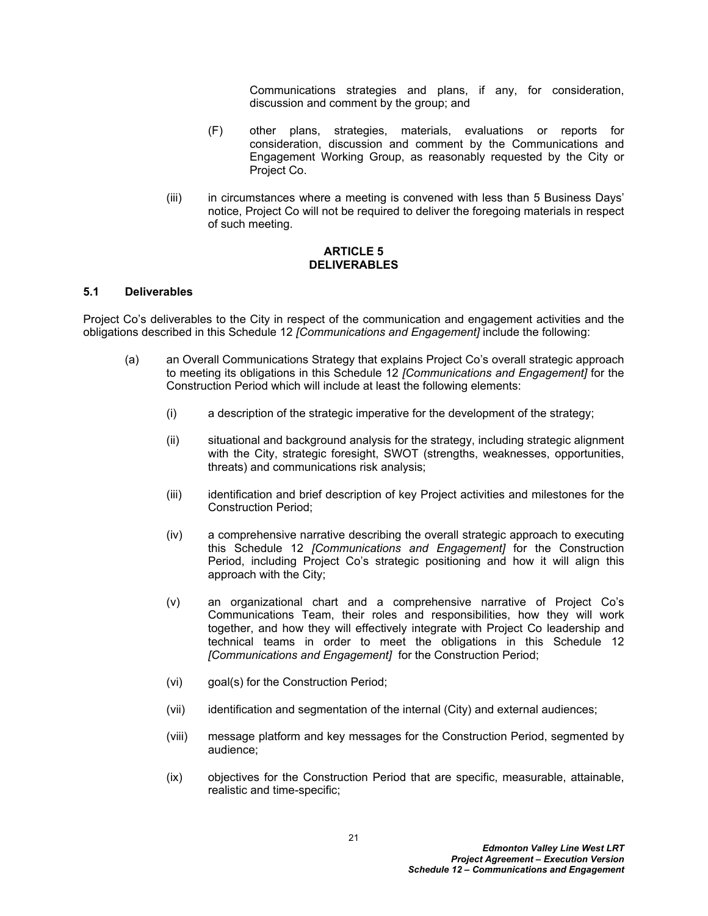Communications strategies and plans, if any, for consideration, discussion and comment by the group; and

- (F) other plans, strategies, materials, evaluations or reports for consideration, discussion and comment by the Communications and Engagement Working Group, as reasonably requested by the City or Project Co.
- (iii) in circumstances where a meeting is convened with less than 5 Business Days' notice, Project Co will not be required to deliver the foregoing materials in respect of such meeting.

### <span id="page-22-0"></span>**ARTICLE 5 DELIVERABLES**

#### <span id="page-22-1"></span>**5.1 Deliverables**

Project Co's deliverables to the City in respect of the communication and engagement activities and the obligations described in this Schedule 12 *[Communications and Engagement]* include the following:

- (a) an Overall Communications Strategy that explains Project Co's overall strategic approach to meeting its obligations in this Schedule 12 *[Communications and Engagement]* for the Construction Period which will include at least the following elements:
	- (i) a description of the strategic imperative for the development of the strategy;
	- (ii) situational and background analysis for the strategy, including strategic alignment with the City, strategic foresight, SWOT (strengths, weaknesses, opportunities, threats) and communications risk analysis;
	- (iii) identification and brief description of key Project activities and milestones for the Construction Period;
	- (iv) a comprehensive narrative describing the overall strategic approach to executing this Schedule 12 *[Communications and Engagement]* for the Construction Period, including Project Co's strategic positioning and how it will align this approach with the City;
	- (v) an organizational chart and a comprehensive narrative of Project Co's Communications Team, their roles and responsibilities, how they will work together, and how they will effectively integrate with Project Co leadership and technical teams in order to meet the obligations in this Schedule 12 *[Communications and Engagement]* for the Construction Period;
	- (vi) goal(s) for the Construction Period;
	- (vii) identification and segmentation of the internal (City) and external audiences;
	- (viii) message platform and key messages for the Construction Period, segmented by audience;
	- (ix) objectives for the Construction Period that are specific, measurable, attainable, realistic and time-specific;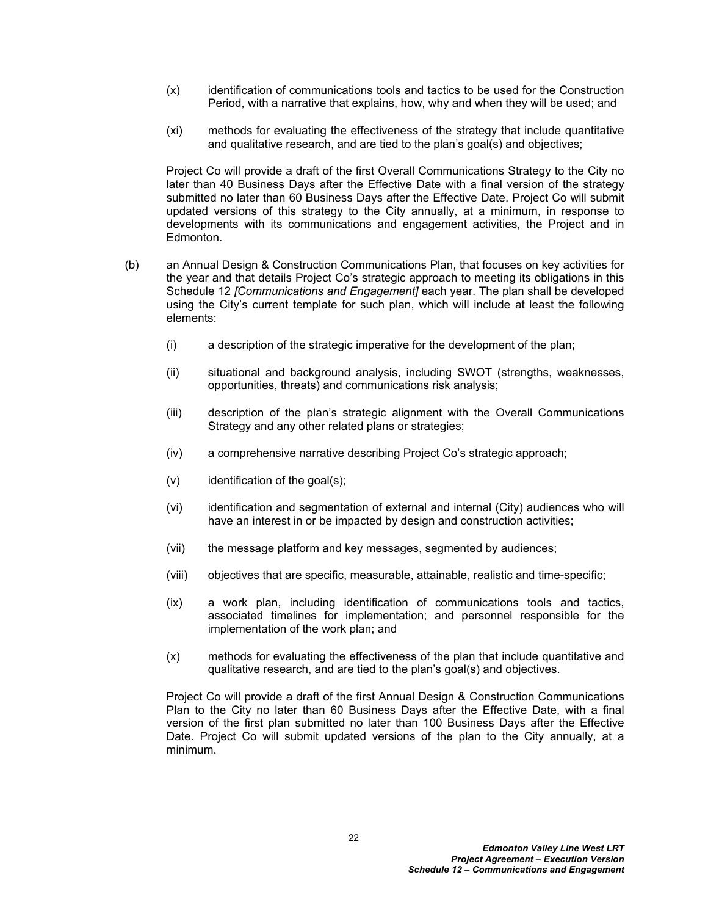- (x) identification of communications tools and tactics to be used for the Construction Period, with a narrative that explains, how, why and when they will be used; and
- (xi) methods for evaluating the effectiveness of the strategy that include quantitative and qualitative research, and are tied to the plan's goal(s) and objectives;

Project Co will provide a draft of the first Overall Communications Strategy to the City no later than 40 Business Days after the Effective Date with a final version of the strategy submitted no later than 60 Business Days after the Effective Date. Project Co will submit updated versions of this strategy to the City annually, at a minimum, in response to developments with its communications and engagement activities, the Project and in Edmonton.

- (b) an Annual Design & Construction Communications Plan, that focuses on key activities for the year and that details Project Co's strategic approach to meeting its obligations in this Schedule 12 *[Communications and Engagement]* each year. The plan shall be developed using the City's current template for such plan, which will include at least the following elements:
	- (i) a description of the strategic imperative for the development of the plan;
	- (ii) situational and background analysis, including SWOT (strengths, weaknesses, opportunities, threats) and communications risk analysis;
	- (iii) description of the plan's strategic alignment with the Overall Communications Strategy and any other related plans or strategies;
	- (iv) a comprehensive narrative describing Project Co's strategic approach;
	- $(v)$  identification of the goal $(s)$ ;
	- (vi) identification and segmentation of external and internal (City) audiences who will have an interest in or be impacted by design and construction activities;
	- (vii) the message platform and key messages, segmented by audiences;
	- (viii) objectives that are specific, measurable, attainable, realistic and time-specific;
	- (ix) a work plan, including identification of communications tools and tactics, associated timelines for implementation; and personnel responsible for the implementation of the work plan; and
	- (x) methods for evaluating the effectiveness of the plan that include quantitative and qualitative research, and are tied to the plan's goal(s) and objectives.

Project Co will provide a draft of the first Annual Design & Construction Communications Plan to the City no later than 60 Business Days after the Effective Date, with a final version of the first plan submitted no later than 100 Business Days after the Effective Date. Project Co will submit updated versions of the plan to the City annually, at a minimum.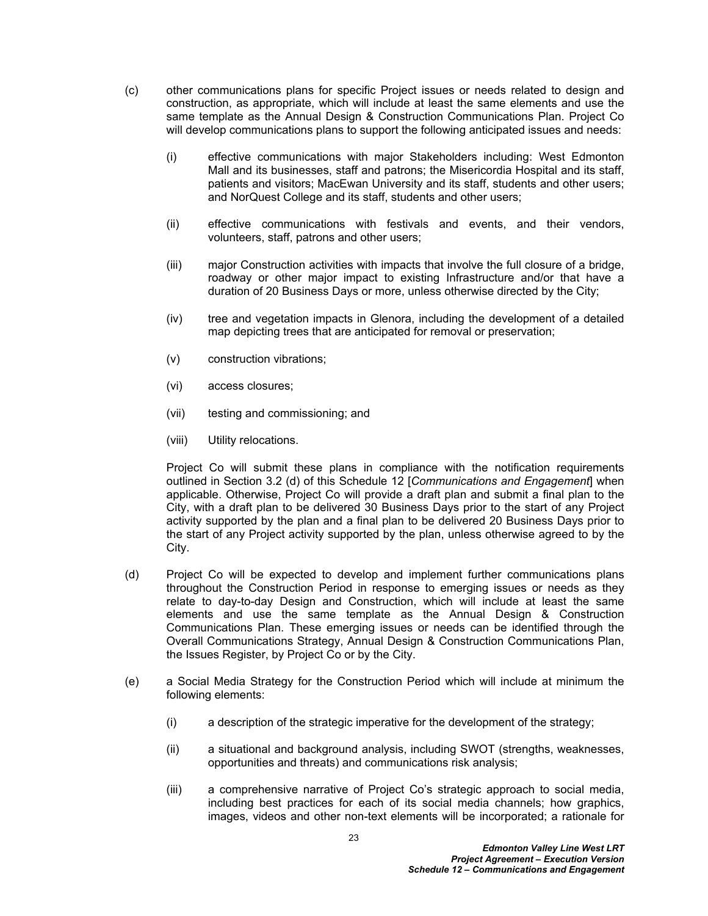- (c) other communications plans for specific Project issues or needs related to design and construction, as appropriate, which will include at least the same elements and use the same template as the Annual Design & Construction Communications Plan. Project Co will develop communications plans to support the following anticipated issues and needs:
	- (i) effective communications with major Stakeholders including: West Edmonton Mall and its businesses, staff and patrons; the Misericordia Hospital and its staff, patients and visitors; MacEwan University and its staff, students and other users; and NorQuest College and its staff, students and other users;
	- (ii) effective communications with festivals and events, and their vendors, volunteers, staff, patrons and other users;
	- (iii) major Construction activities with impacts that involve the full closure of a bridge, roadway or other major impact to existing Infrastructure and/or that have a duration of 20 Business Days or more, unless otherwise directed by the City;
	- (iv) tree and vegetation impacts in Glenora, including the development of a detailed map depicting trees that are anticipated for removal or preservation;
	- (v) construction vibrations;
	- (vi) access closures;
	- (vii) testing and commissioning; and
	- (viii) Utility relocations.

Project Co will submit these plans in compliance with the notification requirements outlined in Section 3.2 (d) of this Schedule 12 [*Communications and Engagement*] when applicable. Otherwise, Project Co will provide a draft plan and submit a final plan to the City, with a draft plan to be delivered 30 Business Days prior to the start of any Project activity supported by the plan and a final plan to be delivered 20 Business Days prior to the start of any Project activity supported by the plan, unless otherwise agreed to by the City.

- (d) Project Co will be expected to develop and implement further communications plans throughout the Construction Period in response to emerging issues or needs as they relate to day-to-day Design and Construction, which will include at least the same elements and use the same template as the Annual Design & Construction Communications Plan. These emerging issues or needs can be identified through the Overall Communications Strategy, Annual Design & Construction Communications Plan, the Issues Register, by Project Co or by the City.
- (e) a Social Media Strategy for the Construction Period which will include at minimum the following elements:
	- (i) a description of the strategic imperative for the development of the strategy;
	- (ii) a situational and background analysis, including SWOT (strengths, weaknesses, opportunities and threats) and communications risk analysis;
	- (iii) a comprehensive narrative of Project Co's strategic approach to social media, including best practices for each of its social media channels; how graphics, images, videos and other non-text elements will be incorporated; a rationale for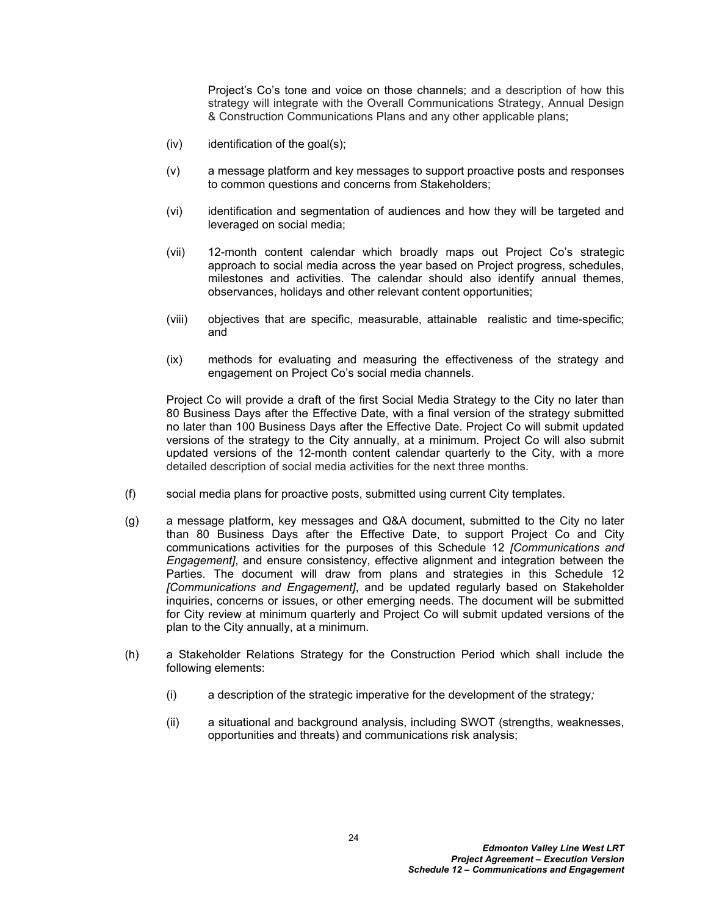Project's Co's tone and voice on those channels; and a description of how this strategy will integrate with the Overall Communications Strategy, Annual Design & Construction Communications Plans and any other applicable plans;

- $(iv)$  identification of the goal $(s)$ ;
- (v) a message platform and key messages to support proactive posts and responses to common questions and concerns from Stakeholders;
- (vi) identification and segmentation of audiences and how they will be targeted and leveraged on social media;
- (vii) 12-month content calendar which broadly maps out Project Co's strategic approach to social media across the year based on Project progress, schedules, milestones and activities. The calendar should also identify annual themes, observances, holidays and other relevant content opportunities;
- (viii) objectives that are specific, measurable, attainable realistic and time-specific; and
- (ix) methods for evaluating and measuring the effectiveness of the strategy and engagement on Project Co's social media channels.

Project Co will provide a draft of the first Social Media Strategy to the City no later than 80 Business Days after the Effective Date, with a final version of the strategy submitted no later than 100 Business Days after the Effective Date. Project Co will submit updated versions of the strategy to the City annually, at a minimum. Project Co will also submit updated versions of the 12-month content calendar quarterly to the City, with a more detailed description of social media activities for the next three months.

- (f) social media plans for proactive posts, submitted using current City templates.
- (g) a message platform, key messages and Q&A document, submitted to the City no later than 80 Business Days after the Effective Date, to support Project Co and City communications activities for the purposes of this Schedule 12 *[Communications and Engagement]*, and ensure consistency, effective alignment and integration between the Parties. The document will draw from plans and strategies in this Schedule 12 *[Communications and Engagement]*, and be updated regularly based on Stakeholder inquiries, concerns or issues, or other emerging needs. The document will be submitted for City review at minimum quarterly and Project Co will submit updated versions of the plan to the City annually, at a minimum.
- (h) a Stakeholder Relations Strategy for the Construction Period which shall include the following elements:
	- (i) a description of the strategic imperative for the development of the strategy*;*
	- (ii) a situational and background analysis, including SWOT (strengths, weaknesses, opportunities and threats) and communications risk analysis;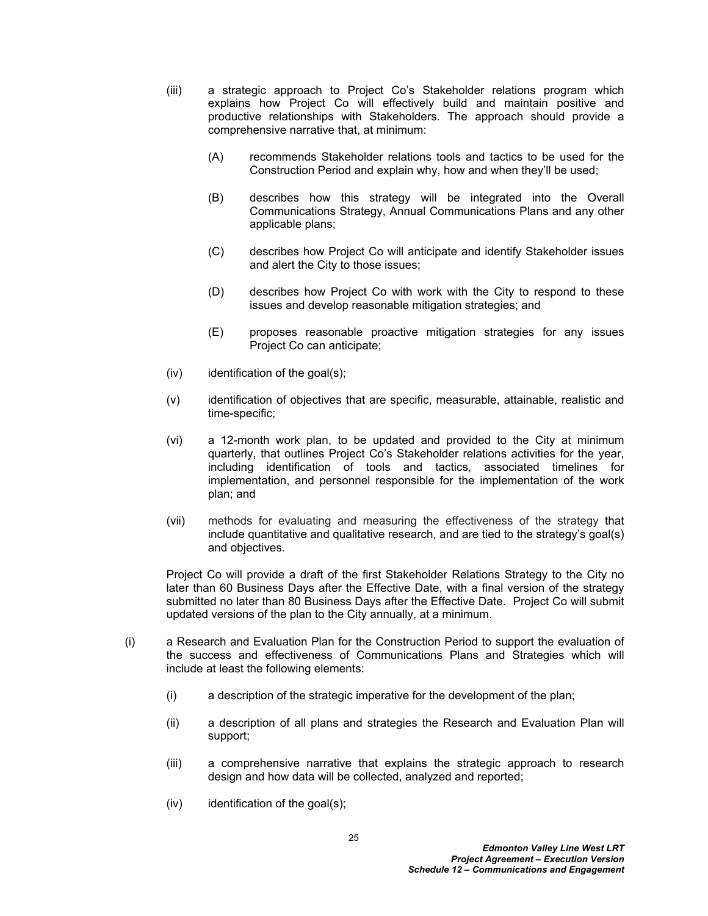- (iii) a strategic approach to Project Co's Stakeholder relations program which explains how Project Co will effectively build and maintain positive and productive relationships with Stakeholders. The approach should provide a comprehensive narrative that, at minimum:
	- (A) recommends Stakeholder relations tools and tactics to be used for the Construction Period and explain why, how and when they'll be used;
	- (B) describes how this strategy will be integrated into the Overall Communications Strategy, Annual Communications Plans and any other applicable plans;
	- (C) describes how Project Co will anticipate and identify Stakeholder issues and alert the City to those issues;
	- (D) describes how Project Co with work with the City to respond to these issues and develop reasonable mitigation strategies; and
	- (E) proposes reasonable proactive mitigation strategies for any issues Project Co can anticipate;
- $(iv)$  identification of the goal $(s)$ ;
- (v) identification of objectives that are specific, measurable, attainable, realistic and time-specific;
- (vi) a 12-month work plan, to be updated and provided to the City at minimum quarterly, that outlines Project Co's Stakeholder relations activities for the year, including identification of tools and tactics, associated timelines for implementation, and personnel responsible for the implementation of the work plan; and
- (vii) methods for evaluating and measuring the effectiveness of the strategy that include quantitative and qualitative research, and are tied to the strategy's goal(s) and objectives.

Project Co will provide a draft of the first Stakeholder Relations Strategy to the City no later than 60 Business Days after the Effective Date, with a final version of the strategy submitted no later than 80 Business Days after the Effective Date. Project Co will submit updated versions of the plan to the City annually, at a minimum.

- (i) a Research and Evaluation Plan for the Construction Period to support the evaluation of the success and effectiveness of Communications Plans and Strategies which will include at least the following elements:
	- (i) a description of the strategic imperative for the development of the plan;
	- (ii) a description of all plans and strategies the Research and Evaluation Plan will support;
	- (iii) a comprehensive narrative that explains the strategic approach to research design and how data will be collected, analyzed and reported;
	- $(iv)$  identification of the goal $(s)$ ;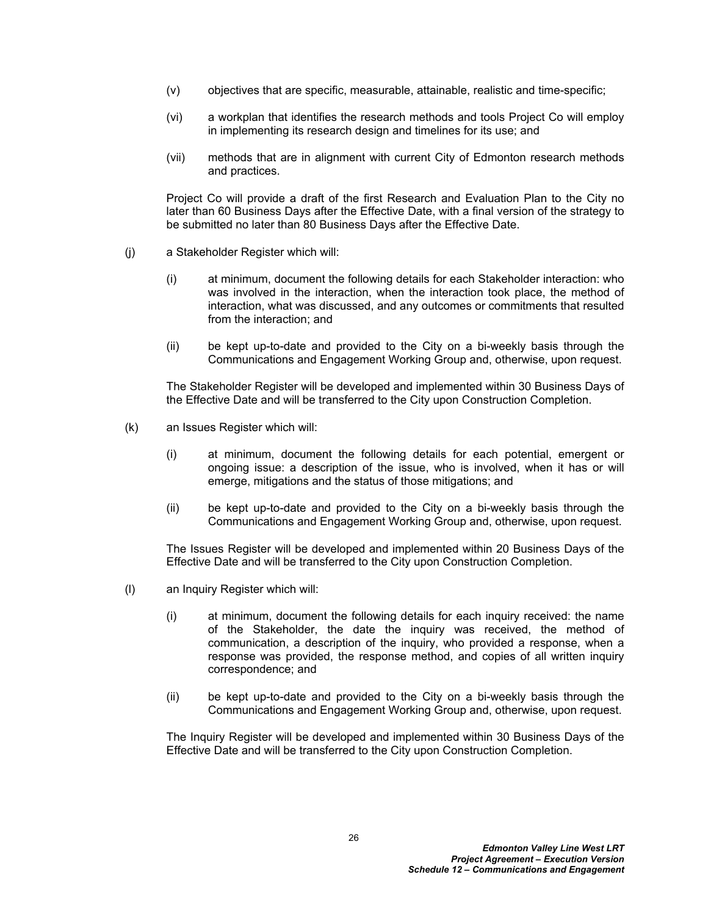- (v) objectives that are specific, measurable, attainable, realistic and time-specific;
- (vi) a workplan that identifies the research methods and tools Project Co will employ in implementing its research design and timelines for its use; and
- (vii) methods that are in alignment with current City of Edmonton research methods and practices.

Project Co will provide a draft of the first Research and Evaluation Plan to the City no later than 60 Business Days after the Effective Date, with a final version of the strategy to be submitted no later than 80 Business Days after the Effective Date.

- (j) a Stakeholder Register which will:
	- (i) at minimum, document the following details for each Stakeholder interaction: who was involved in the interaction, when the interaction took place, the method of interaction, what was discussed, and any outcomes or commitments that resulted from the interaction; and
	- (ii) be kept up-to-date and provided to the City on a bi-weekly basis through the Communications and Engagement Working Group and, otherwise, upon request.

The Stakeholder Register will be developed and implemented within 30 Business Days of the Effective Date and will be transferred to the City upon Construction Completion.

- (k) an Issues Register which will:
	- (i) at minimum, document the following details for each potential, emergent or ongoing issue: a description of the issue, who is involved, when it has or will emerge, mitigations and the status of those mitigations; and
	- (ii) be kept up-to-date and provided to the City on a bi-weekly basis through the Communications and Engagement Working Group and, otherwise, upon request.

The Issues Register will be developed and implemented within 20 Business Days of the Effective Date and will be transferred to the City upon Construction Completion.

- (l) an Inquiry Register which will:
	- (i) at minimum, document the following details for each inquiry received: the name of the Stakeholder, the date the inquiry was received, the method of communication, a description of the inquiry, who provided a response, when a response was provided, the response method, and copies of all written inquiry correspondence; and
	- (ii) be kept up-to-date and provided to the City on a bi-weekly basis through the Communications and Engagement Working Group and, otherwise, upon request.

The Inquiry Register will be developed and implemented within 30 Business Days of the Effective Date and will be transferred to the City upon Construction Completion.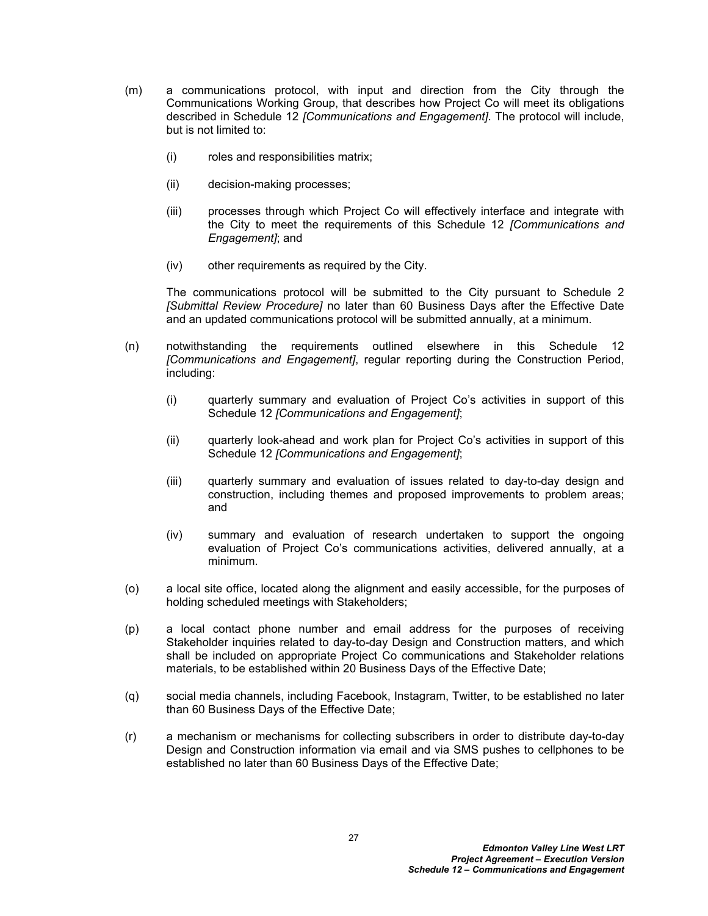- (m) a communications protocol, with input and direction from the City through the Communications Working Group, that describes how Project Co will meet its obligations described in Schedule 12 *[Communications and Engagement]*. The protocol will include, but is not limited to:
	- (i) roles and responsibilities matrix;
	- (ii) decision-making processes;
	- (iii) processes through which Project Co will effectively interface and integrate with the City to meet the requirements of this Schedule 12 *[Communications and Engagement]*; and
	- (iv) other requirements as required by the City.

The communications protocol will be submitted to the City pursuant to Schedule 2 *[Submittal Review Procedure]* no later than 60 Business Days after the Effective Date and an updated communications protocol will be submitted annually, at a minimum.

- (n) notwithstanding the requirements outlined elsewhere in this Schedule 12 *[Communications and Engagement]*, regular reporting during the Construction Period, including:
	- (i) quarterly summary and evaluation of Project Co's activities in support of this Schedule 12 *[Communications and Engagement]*;
	- (ii) quarterly look-ahead and work plan for Project Co's activities in support of this Schedule 12 *[Communications and Engagement]*;
	- (iii) quarterly summary and evaluation of issues related to day-to-day design and construction, including themes and proposed improvements to problem areas; and
	- (iv) summary and evaluation of research undertaken to support the ongoing evaluation of Project Co's communications activities, delivered annually, at a minimum.
- (o) a local site office, located along the alignment and easily accessible, for the purposes of holding scheduled meetings with Stakeholders;
- (p) a local contact phone number and email address for the purposes of receiving Stakeholder inquiries related to day-to-day Design and Construction matters, and which shall be included on appropriate Project Co communications and Stakeholder relations materials, to be established within 20 Business Days of the Effective Date;
- (q) social media channels, including Facebook, Instagram, Twitter, to be established no later than 60 Business Days of the Effective Date;
- (r) a mechanism or mechanisms for collecting subscribers in order to distribute day-to-day Design and Construction information via email and via SMS pushes to cellphones to be established no later than 60 Business Days of the Effective Date;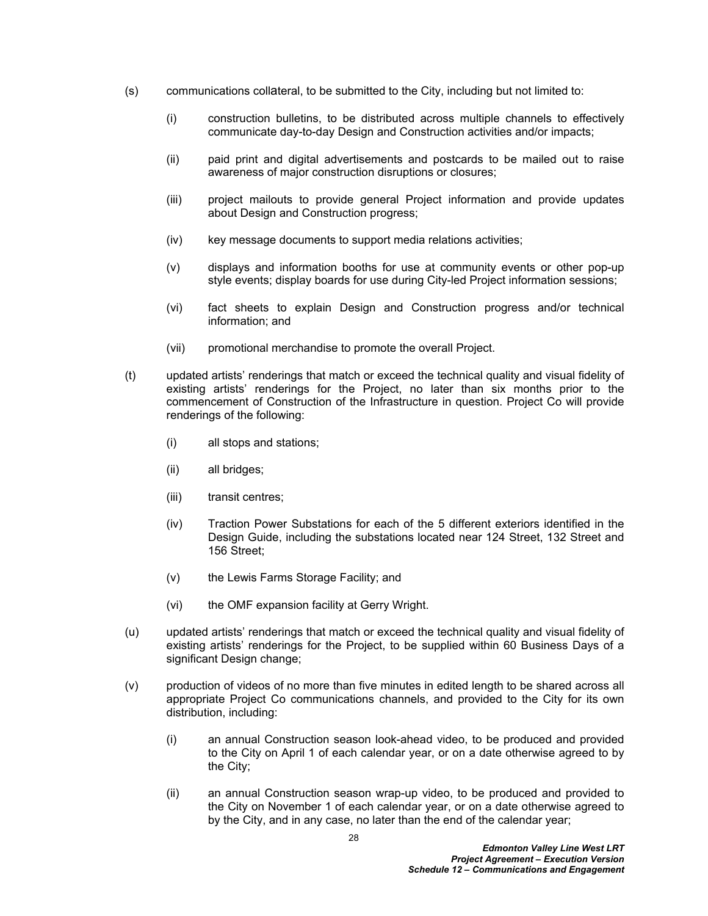- (s) communications collateral, to be submitted to the City, including but not limited to:
	- (i) construction bulletins, to be distributed across multiple channels to effectively communicate day-to-day Design and Construction activities and/or impacts;
	- (ii) paid print and digital advertisements and postcards to be mailed out to raise awareness of major construction disruptions or closures;
	- (iii) project mailouts to provide general Project information and provide updates about Design and Construction progress;
	- (iv) key message documents to support media relations activities;
	- (v) displays and information booths for use at community events or other pop-up style events; display boards for use during City-led Project information sessions;
	- (vi) fact sheets to explain Design and Construction progress and/or technical information; and
	- (vii) promotional merchandise to promote the overall Project.
- (t) updated artists' renderings that match or exceed the technical quality and visual fidelity of existing artists' renderings for the Project, no later than six months prior to the commencement of Construction of the Infrastructure in question. Project Co will provide renderings of the following:
	- (i) all stops and stations;
	- (ii) all bridges;
	- (iii) transit centres;
	- (iv) Traction Power Substations for each of the 5 different exteriors identified in the Design Guide, including the substations located near 124 Street, 132 Street and 156 Street;
	- (v) the Lewis Farms Storage Facility; and
	- (vi) the OMF expansion facility at Gerry Wright.
- (u) updated artists' renderings that match or exceed the technical quality and visual fidelity of existing artists' renderings for the Project, to be supplied within 60 Business Days of a significant Design change;
- (v) production of videos of no more than five minutes in edited length to be shared across all appropriate Project Co communications channels, and provided to the City for its own distribution, including:
	- (i) an annual Construction season look-ahead video, to be produced and provided to the City on April 1 of each calendar year, or on a date otherwise agreed to by the City;
	- (ii) an annual Construction season wrap-up video, to be produced and provided to the City on November 1 of each calendar year, or on a date otherwise agreed to by the City, and in any case, no later than the end of the calendar year;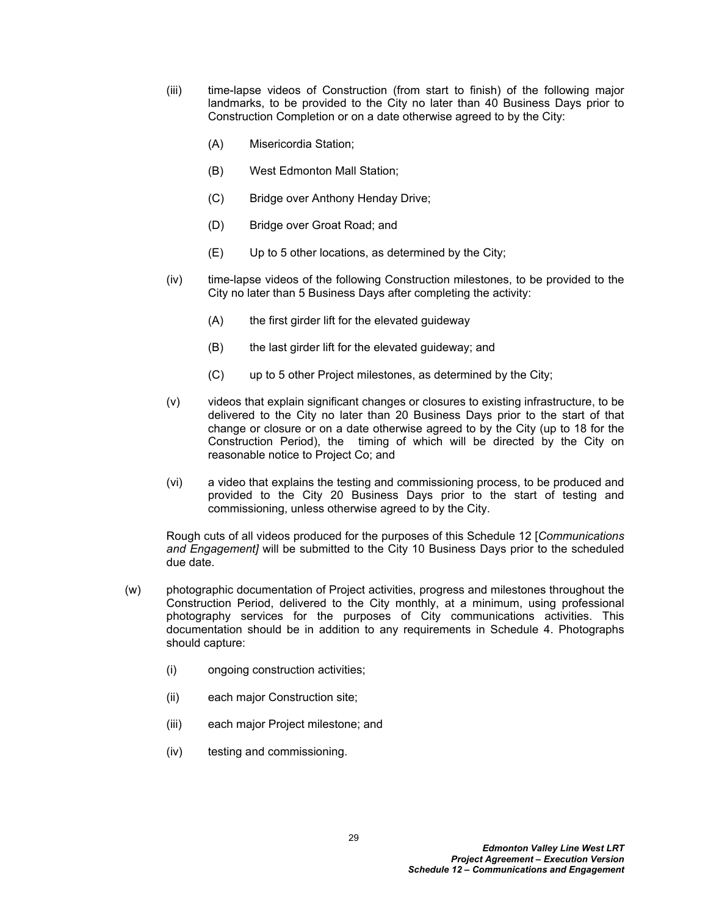- (iii) time-lapse videos of Construction (from start to finish) of the following major landmarks, to be provided to the City no later than 40 Business Days prior to Construction Completion or on a date otherwise agreed to by the City:
	- (A) Misericordia Station;
	- (B) West Edmonton Mall Station;
	- (C) Bridge over Anthony Henday Drive;
	- (D) Bridge over Groat Road; and
	- (E) Up to 5 other locations, as determined by the City;
- (iv) time-lapse videos of the following Construction milestones, to be provided to the City no later than 5 Business Days after completing the activity:
	- (A) the first girder lift for the elevated guideway
	- (B) the last girder lift for the elevated guideway; and
	- (C) up to 5 other Project milestones, as determined by the City;
- (v) videos that explain significant changes or closures to existing infrastructure, to be delivered to the City no later than 20 Business Days prior to the start of that change or closure or on a date otherwise agreed to by the City (up to 18 for the Construction Period), the timing of which will be directed by the City on reasonable notice to Project Co; and
- (vi) a video that explains the testing and commissioning process, to be produced and provided to the City 20 Business Days prior to the start of testing and commissioning, unless otherwise agreed to by the City.

Rough cuts of all videos produced for the purposes of this Schedule 12 [*Communications and Engagement]* will be submitted to the City 10 Business Days prior to the scheduled due date.

- (w) photographic documentation of Project activities, progress and milestones throughout the Construction Period, delivered to the City monthly, at a minimum, using professional photography services for the purposes of City communications activities. This documentation should be in addition to any requirements in Schedule 4. Photographs should capture:
	- (i) ongoing construction activities;
	- (ii) each major Construction site;
	- (iii) each major Project milestone; and
	- (iv) testing and commissioning.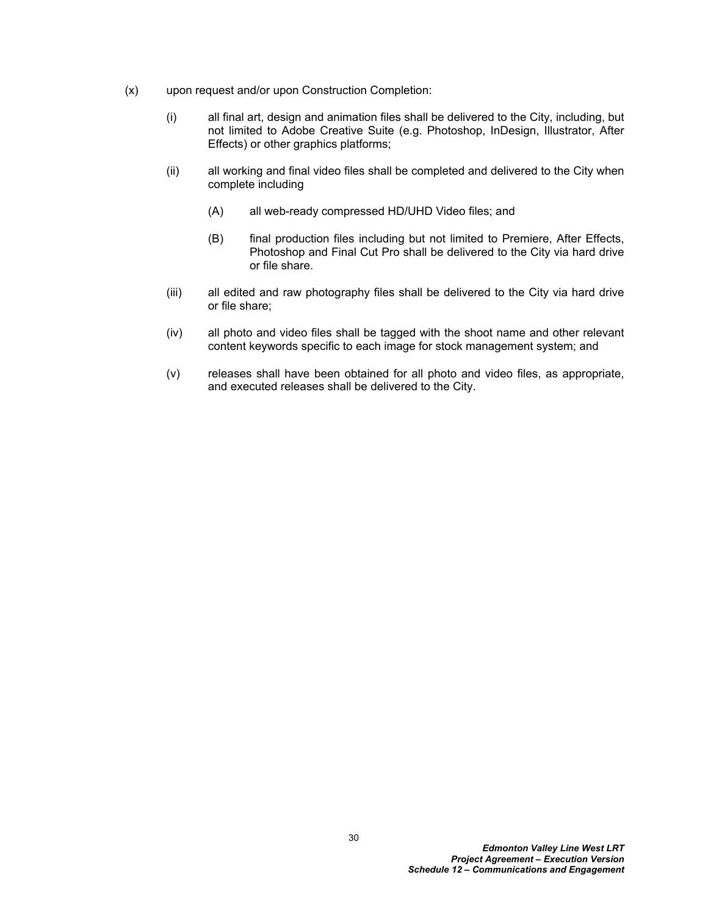- (x) upon request and/or upon Construction Completion:
	- (i) all final art, design and animation files shall be delivered to the City, including, but not limited to Adobe Creative Suite (e.g. Photoshop, InDesign, Illustrator, After Effects) or other graphics platforms;
	- (ii) all working and final video files shall be completed and delivered to the City when complete including
		- (A) all web-ready compressed HD/UHD Video files; and
		- (B) final production files including but not limited to Premiere, After Effects, Photoshop and Final Cut Pro shall be delivered to the City via hard drive or file share.
	- (iii) all edited and raw photography files shall be delivered to the City via hard drive or file share;
	- (iv) all photo and video files shall be tagged with the shoot name and other relevant content keywords specific to each image for stock management system; and
	- (v) releases shall have been obtained for all photo and video files, as appropriate, and executed releases shall be delivered to the City.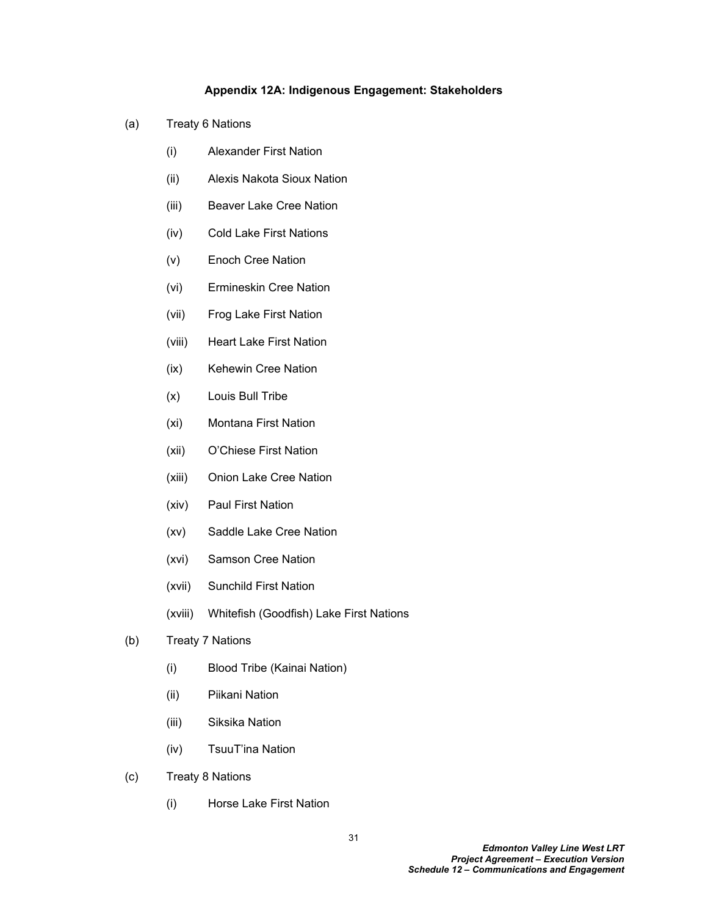## <span id="page-32-0"></span>**Appendix 12A: Indigenous Engagement: Stakeholders**

- (a) Treaty 6 Nations
	- (i) Alexander First Nation
	- (ii) Alexis Nakota Sioux Nation
	- (iii) Beaver Lake Cree Nation
	- (iv) Cold Lake First Nations
	- (v) Enoch Cree Nation
	- (vi) Ermineskin Cree Nation
	- (vii) Frog Lake First Nation
	- (viii) Heart Lake First Nation
	- (ix) Kehewin Cree Nation
	- (x) Louis Bull Tribe
	- (xi) Montana First Nation
	- (xii) O'Chiese First Nation
	- (xiii) Onion Lake Cree Nation
	- (xiv) Paul First Nation
	- (xv) Saddle Lake Cree Nation
	- (xvi) Samson Cree Nation
	- (xvii) Sunchild First Nation
	- (xviii) Whitefish (Goodfish) Lake First Nations
- (b) Treaty 7 Nations
	- (i) Blood Tribe (Kainai Nation)
	- (ii) Piikani Nation
	- (iii) Siksika Nation
	- (iv) TsuuT'ina Nation
- (c) Treaty 8 Nations
	- (i) Horse Lake First Nation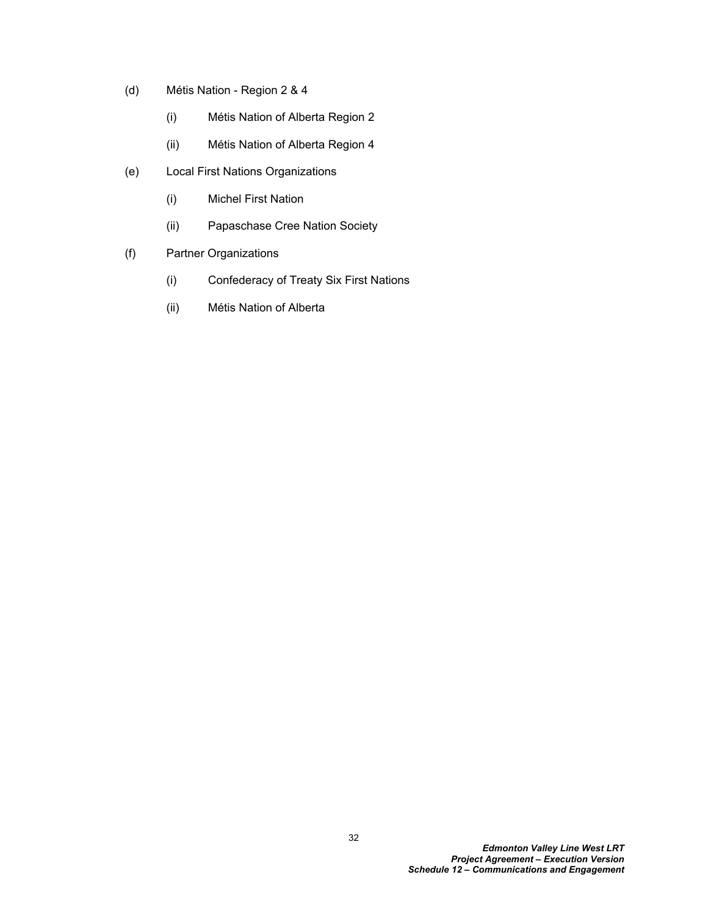- (d) Métis Nation Region 2 & 4
	- (i) Métis Nation of Alberta Region 2
	- (ii) Métis Nation of Alberta Region 4
- (e) Local First Nations Organizations
	- (i) Michel First Nation
	- (ii) Papaschase Cree Nation Society
- (f) Partner Organizations
	- (i) Confederacy of Treaty Six First Nations
	- (ii) Métis Nation of Alberta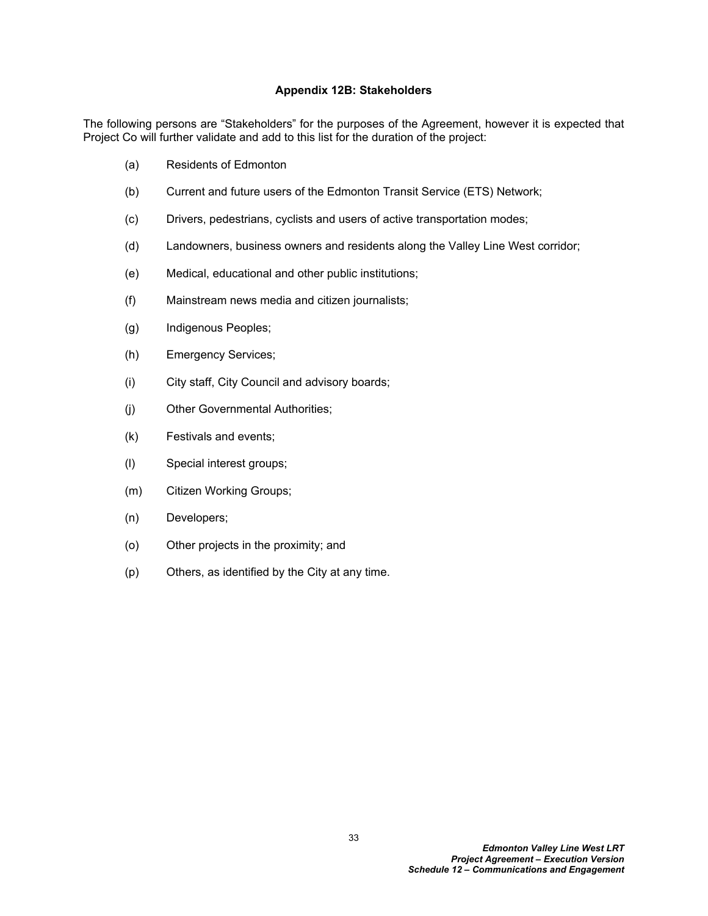### <span id="page-34-0"></span>**Appendix 12B: Stakeholders**

The following persons are "Stakeholders" for the purposes of the Agreement, however it is expected that Project Co will further validate and add to this list for the duration of the project:

- (a) Residents of Edmonton
- (b) Current and future users of the Edmonton Transit Service (ETS) Network;
- (c) Drivers, pedestrians, cyclists and users of active transportation modes;
- (d) Landowners, business owners and residents along the Valley Line West corridor;
- (e) Medical, educational and other public institutions;
- (f) Mainstream news media and citizen journalists;
- (g) Indigenous Peoples;
- (h) Emergency Services;
- (i) City staff, City Council and advisory boards;
- (j) Other Governmental Authorities;
- (k) Festivals and events;
- (l) Special interest groups;
- (m) Citizen Working Groups;
- (n) Developers;
- (o) Other projects in the proximity; and
- (p) Others, as identified by the City at any time.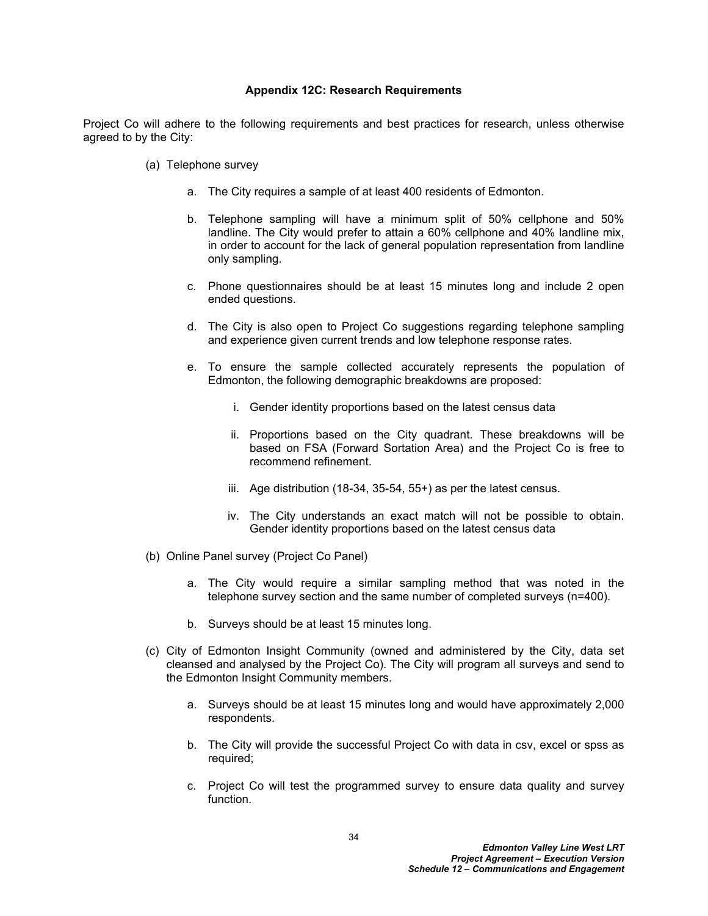#### <span id="page-35-0"></span>**Appendix 12C: Research Requirements**

Project Co will adhere to the following requirements and best practices for research, unless otherwise agreed to by the City:

- (a) Telephone survey
	- a. The City requires a sample of at least 400 residents of Edmonton.
	- b. Telephone sampling will have a minimum split of 50% cellphone and 50% landline. The City would prefer to attain a 60% cellphone and 40% landline mix, in order to account for the lack of general population representation from landline only sampling.
	- c. Phone questionnaires should be at least 15 minutes long and include 2 open ended questions.
	- d. The City is also open to Project Co suggestions regarding telephone sampling and experience given current trends and low telephone response rates.
	- e. To ensure the sample collected accurately represents the population of Edmonton, the following demographic breakdowns are proposed:
		- i. Gender identity proportions based on the latest census data
		- ii. Proportions based on the City quadrant. These breakdowns will be based on FSA (Forward Sortation Area) and the Project Co is free to recommend refinement.
		- iii. Age distribution (18-34, 35-54, 55+) as per the latest census.
		- iv. The City understands an exact match will not be possible to obtain. Gender identity proportions based on the latest census data
- (b) Online Panel survey (Project Co Panel)
	- a. The City would require a similar sampling method that was noted in the telephone survey section and the same number of completed surveys (n=400).
	- b. Surveys should be at least 15 minutes long.
- (c) City of Edmonton Insight Community (owned and administered by the City, data set cleansed and analysed by the Project Co). The City will program all surveys and send to the Edmonton Insight Community members.
	- a. Surveys should be at least 15 minutes long and would have approximately 2,000 respondents.
	- b. The City will provide the successful Project Co with data in csv, excel or spss as required;
	- c. Project Co will test the programmed survey to ensure data quality and survey function.